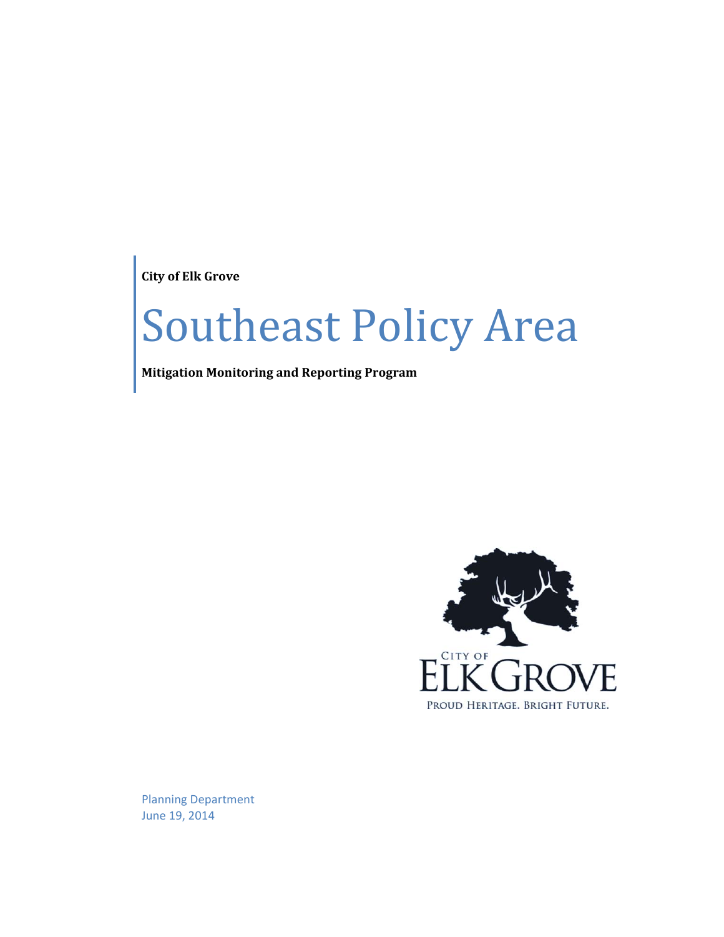**City of Elk Grove**

# Southeast Policy Area

**Mitigation Monitoring and Reporting Program**



Planning Department June 19, 2014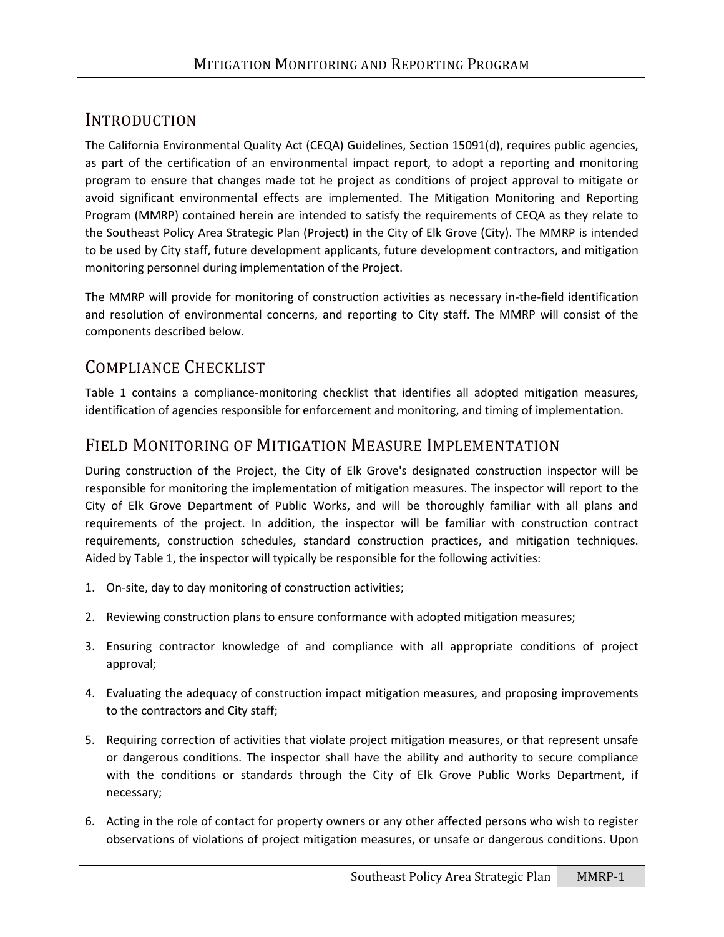#### INTRODUCTION

The California Environmental Quality Act (CEQA) Guidelines, Section 15091(d), requires public agencies, as part of the certification of an environmental impact report, to adopt a reporting and monitoring program to ensure that changes made tot he project as conditions of project approval to mitigate or avoid significant environmental effects are implemented. The Mitigation Monitoring and Reporting Program (MMRP) contained herein are intended to satisfy the requirements of CEQA as they relate to the Southeast Policy Area Strategic Plan (Project) in the City of Elk Grove (City). The MMRP is intended to be used by City staff, future development applicants, future development contractors, and mitigation monitoring personnel during implementation of the Project.

The MMRP will provide for monitoring of construction activities as necessary in-the-field identification and resolution of environmental concerns, and reporting to City staff. The MMRP will consist of the components described below.

#### COMPLIANCE CHECKLIST

Table 1 contains a compliance-monitoring checklist that identifies all adopted mitigation measures, identification of agencies responsible for enforcement and monitoring, and timing of implementation.

#### FIELD MONITORING OF MITIGATION MEASURE IMPLEMENTATION

During construction of the Project, the City of Elk Grove's designated construction inspector will be responsible for monitoring the implementation of mitigation measures. The inspector will report to the City of Elk Grove Department of Public Works, and will be thoroughly familiar with all plans and requirements of the project. In addition, the inspector will be familiar with construction contract requirements, construction schedules, standard construction practices, and mitigation techniques. Aided by Table 1, the inspector will typically be responsible for the following activities:

- 1. On-site, day to day monitoring of construction activities;
- 2. Reviewing construction plans to ensure conformance with adopted mitigation measures;
- 3. Ensuring contractor knowledge of and compliance with all appropriate conditions of project approval;
- 4. Evaluating the adequacy of construction impact mitigation measures, and proposing improvements to the contractors and City staff;
- 5. Requiring correction of activities that violate project mitigation measures, or that represent unsafe or dangerous conditions. The inspector shall have the ability and authority to secure compliance with the conditions or standards through the City of Elk Grove Public Works Department, if necessary;
- 6. Acting in the role of contact for property owners or any other affected persons who wish to register observations of violations of project mitigation measures, or unsafe or dangerous conditions. Upon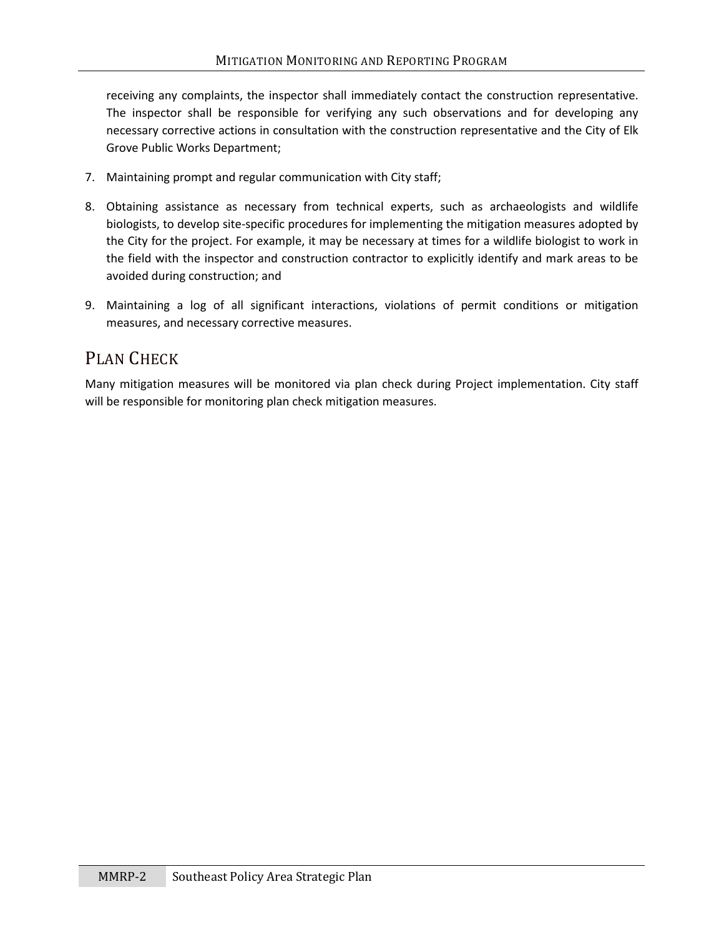receiving any complaints, the inspector shall immediately contact the construction representative. The inspector shall be responsible for verifying any such observations and for developing any necessary corrective actions in consultation with the construction representative and the City of Elk Grove Public Works Department;

- 7. Maintaining prompt and regular communication with City staff;
- 8. Obtaining assistance as necessary from technical experts, such as archaeologists and wildlife biologists, to develop site-specific procedures for implementing the mitigation measures adopted by the City for the project. For example, it may be necessary at times for a wildlife biologist to work in the field with the inspector and construction contractor to explicitly identify and mark areas to be avoided during construction; and
- 9. Maintaining a log of all significant interactions, violations of permit conditions or mitigation measures, and necessary corrective measures.

#### PLAN CHECK

Many mitigation measures will be monitored via plan check during Project implementation. City staff will be responsible for monitoring plan check mitigation measures.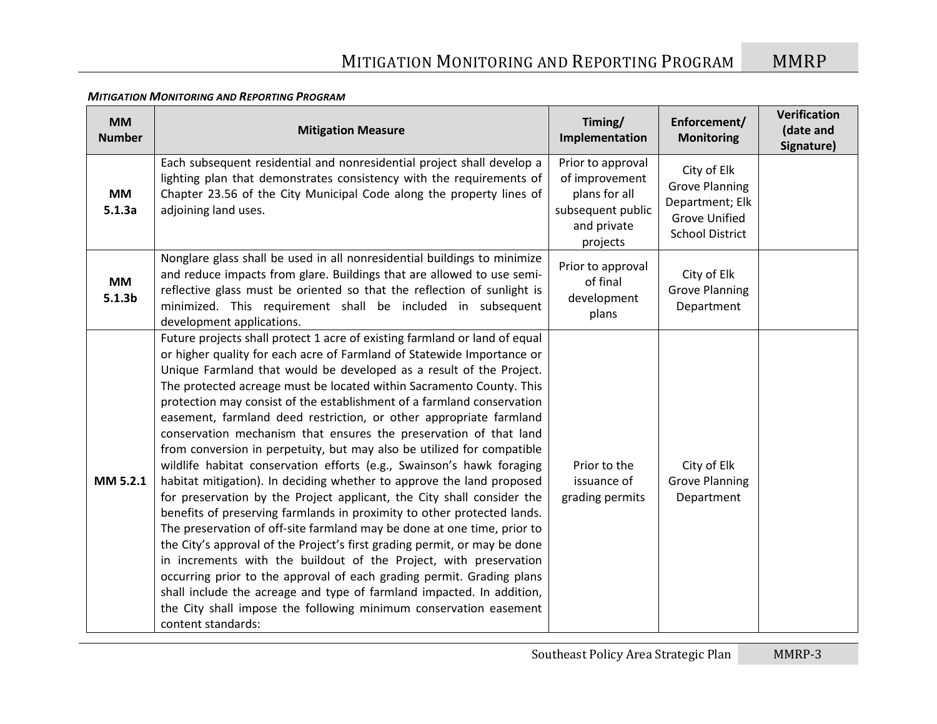| <b>MM</b><br><b>Number</b>      | <b>Mitigation Measure</b>                                                                                                                                                                                                                                                                                                                                                                                                                                                                                                                                                                                                                                                                                                                                                                                                                                                                                                                                                                                                                                                                                                                                                                                                                                                                                                                                                           | Timing/<br>Implementation                                                                            | Enforcement/<br><b>Monitoring</b>                                                                         | Verification<br>(date and<br>Signature) |
|---------------------------------|-------------------------------------------------------------------------------------------------------------------------------------------------------------------------------------------------------------------------------------------------------------------------------------------------------------------------------------------------------------------------------------------------------------------------------------------------------------------------------------------------------------------------------------------------------------------------------------------------------------------------------------------------------------------------------------------------------------------------------------------------------------------------------------------------------------------------------------------------------------------------------------------------------------------------------------------------------------------------------------------------------------------------------------------------------------------------------------------------------------------------------------------------------------------------------------------------------------------------------------------------------------------------------------------------------------------------------------------------------------------------------------|------------------------------------------------------------------------------------------------------|-----------------------------------------------------------------------------------------------------------|-----------------------------------------|
| <b>MM</b><br>5.1.3a             | Each subsequent residential and nonresidential project shall develop a<br>lighting plan that demonstrates consistency with the requirements of<br>Chapter 23.56 of the City Municipal Code along the property lines of<br>adjoining land uses.                                                                                                                                                                                                                                                                                                                                                                                                                                                                                                                                                                                                                                                                                                                                                                                                                                                                                                                                                                                                                                                                                                                                      | Prior to approval<br>of improvement<br>plans for all<br>subsequent public<br>and private<br>projects | City of Elk<br><b>Grove Planning</b><br>Department; Elk<br><b>Grove Unified</b><br><b>School District</b> |                                         |
| <b>MM</b><br>5.1.3 <sub>b</sub> | Nonglare glass shall be used in all nonresidential buildings to minimize<br>and reduce impacts from glare. Buildings that are allowed to use semi-<br>reflective glass must be oriented so that the reflection of sunlight is<br>minimized. This requirement shall be included in subsequent<br>development applications.                                                                                                                                                                                                                                                                                                                                                                                                                                                                                                                                                                                                                                                                                                                                                                                                                                                                                                                                                                                                                                                           | Prior to approval<br>of final<br>development<br>plans                                                | City of Elk<br><b>Grove Planning</b><br>Department                                                        |                                         |
| MM 5.2.1                        | Future projects shall protect 1 acre of existing farmland or land of equal<br>or higher quality for each acre of Farmland of Statewide Importance or<br>Unique Farmland that would be developed as a result of the Project.<br>The protected acreage must be located within Sacramento County. This<br>protection may consist of the establishment of a farmland conservation<br>easement, farmland deed restriction, or other appropriate farmland<br>conservation mechanism that ensures the preservation of that land<br>from conversion in perpetuity, but may also be utilized for compatible<br>wildlife habitat conservation efforts (e.g., Swainson's hawk foraging<br>habitat mitigation). In deciding whether to approve the land proposed<br>for preservation by the Project applicant, the City shall consider the<br>benefits of preserving farmlands in proximity to other protected lands.<br>The preservation of off-site farmland may be done at one time, prior to<br>the City's approval of the Project's first grading permit, or may be done<br>in increments with the buildout of the Project, with preservation<br>occurring prior to the approval of each grading permit. Grading plans<br>shall include the acreage and type of farmland impacted. In addition,<br>the City shall impose the following minimum conservation easement<br>content standards: | Prior to the<br>issuance of<br>grading permits                                                       | City of Elk<br><b>Grove Planning</b><br>Department                                                        |                                         |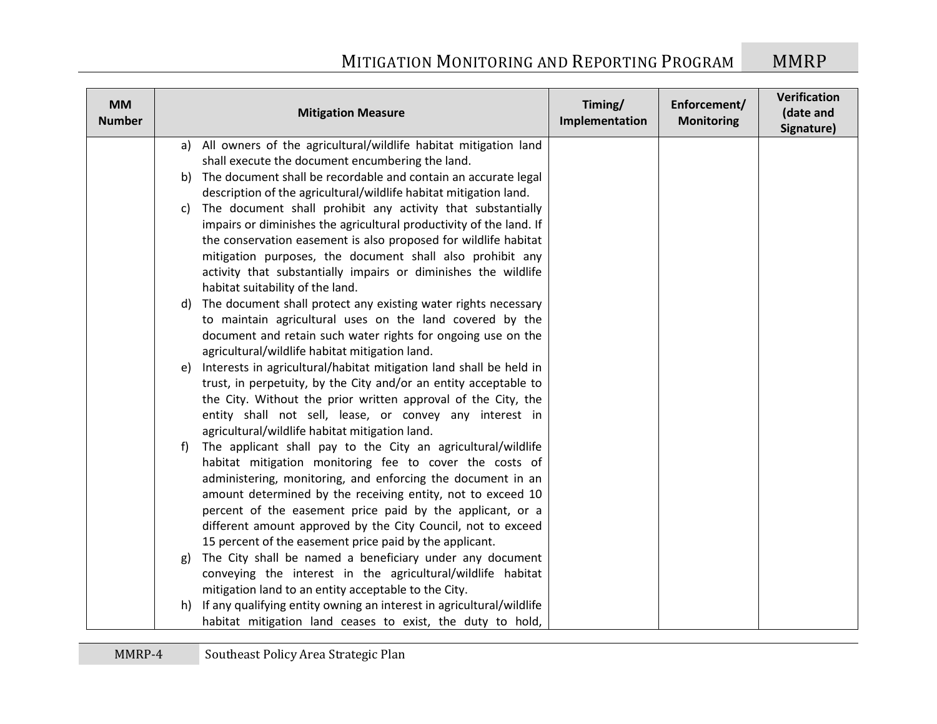| <b>MM</b><br><b>Number</b> |    | <b>Mitigation Measure</b>                                                                          | Timing/<br>Implementation | Enforcement/<br><b>Monitoring</b> | Verification<br>(date and<br>Signature) |
|----------------------------|----|----------------------------------------------------------------------------------------------------|---------------------------|-----------------------------------|-----------------------------------------|
|                            |    | a) All owners of the agricultural/wildlife habitat mitigation land                                 |                           |                                   |                                         |
|                            |    | shall execute the document encumbering the land.                                                   |                           |                                   |                                         |
|                            | b) | The document shall be recordable and contain an accurate legal                                     |                           |                                   |                                         |
|                            |    | description of the agricultural/wildlife habitat mitigation land.                                  |                           |                                   |                                         |
|                            | c) | The document shall prohibit any activity that substantially                                        |                           |                                   |                                         |
|                            |    | impairs or diminishes the agricultural productivity of the land. If                                |                           |                                   |                                         |
|                            |    | the conservation easement is also proposed for wildlife habitat                                    |                           |                                   |                                         |
|                            |    | mitigation purposes, the document shall also prohibit any                                          |                           |                                   |                                         |
|                            |    | activity that substantially impairs or diminishes the wildlife<br>habitat suitability of the land. |                           |                                   |                                         |
|                            |    | d) The document shall protect any existing water rights necessary                                  |                           |                                   |                                         |
|                            |    | to maintain agricultural uses on the land covered by the                                           |                           |                                   |                                         |
|                            |    | document and retain such water rights for ongoing use on the                                       |                           |                                   |                                         |
|                            |    | agricultural/wildlife habitat mitigation land.                                                     |                           |                                   |                                         |
|                            | e) | Interests in agricultural/habitat mitigation land shall be held in                                 |                           |                                   |                                         |
|                            |    | trust, in perpetuity, by the City and/or an entity acceptable to                                   |                           |                                   |                                         |
|                            |    | the City. Without the prior written approval of the City, the                                      |                           |                                   |                                         |
|                            |    | entity shall not sell, lease, or convey any interest in                                            |                           |                                   |                                         |
|                            |    | agricultural/wildlife habitat mitigation land.                                                     |                           |                                   |                                         |
|                            | f  | The applicant shall pay to the City an agricultural/wildlife                                       |                           |                                   |                                         |
|                            |    | habitat mitigation monitoring fee to cover the costs of                                            |                           |                                   |                                         |
|                            |    | administering, monitoring, and enforcing the document in an                                        |                           |                                   |                                         |
|                            |    | amount determined by the receiving entity, not to exceed 10                                        |                           |                                   |                                         |
|                            |    | percent of the easement price paid by the applicant, or a                                          |                           |                                   |                                         |
|                            |    | different amount approved by the City Council, not to exceed                                       |                           |                                   |                                         |
|                            |    | 15 percent of the easement price paid by the applicant.                                            |                           |                                   |                                         |
|                            | g) | The City shall be named a beneficiary under any document                                           |                           |                                   |                                         |
|                            |    | conveying the interest in the agricultural/wildlife habitat                                        |                           |                                   |                                         |
|                            |    | mitigation land to an entity acceptable to the City.                                               |                           |                                   |                                         |
|                            | h) | If any qualifying entity owning an interest in agricultural/wildlife                               |                           |                                   |                                         |
|                            |    | habitat mitigation land ceases to exist, the duty to hold,                                         |                           |                                   |                                         |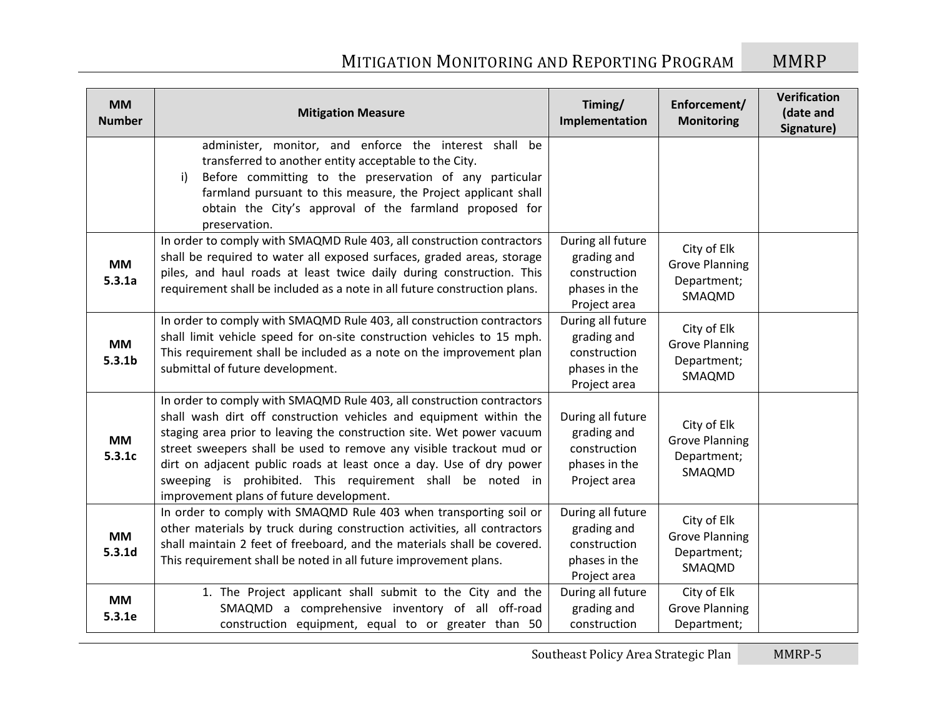| <b>MM</b><br><b>Number</b>      | <b>Mitigation Measure</b>                                                                                                                                                                                                                                                                                                                                                                                                                                                    | Timing/<br>Implementation                                                         | Enforcement/<br><b>Monitoring</b>                             | Verification<br>(date and<br>Signature) |
|---------------------------------|------------------------------------------------------------------------------------------------------------------------------------------------------------------------------------------------------------------------------------------------------------------------------------------------------------------------------------------------------------------------------------------------------------------------------------------------------------------------------|-----------------------------------------------------------------------------------|---------------------------------------------------------------|-----------------------------------------|
|                                 | administer, monitor, and enforce the interest shall be<br>transferred to another entity acceptable to the City.<br>Before committing to the preservation of any particular<br>i)<br>farmland pursuant to this measure, the Project applicant shall<br>obtain the City's approval of the farmland proposed for<br>preservation.                                                                                                                                               |                                                                                   |                                                               |                                         |
| <b>MM</b><br>5.3.1a             | In order to comply with SMAQMD Rule 403, all construction contractors<br>shall be required to water all exposed surfaces, graded areas, storage<br>piles, and haul roads at least twice daily during construction. This<br>requirement shall be included as a note in all future construction plans.                                                                                                                                                                         | During all future<br>grading and<br>construction<br>phases in the<br>Project area | City of Elk<br><b>Grove Planning</b><br>Department;<br>SMAQMD |                                         |
| <b>MM</b><br>5.3.1 <sub>b</sub> | In order to comply with SMAQMD Rule 403, all construction contractors<br>shall limit vehicle speed for on-site construction vehicles to 15 mph.<br>This requirement shall be included as a note on the improvement plan<br>submittal of future development.                                                                                                                                                                                                                  | During all future<br>grading and<br>construction<br>phases in the<br>Project area | City of Elk<br><b>Grove Planning</b><br>Department;<br>SMAQMD |                                         |
| <b>MM</b><br>5.3.1c             | In order to comply with SMAQMD Rule 403, all construction contractors<br>shall wash dirt off construction vehicles and equipment within the<br>staging area prior to leaving the construction site. Wet power vacuum<br>street sweepers shall be used to remove any visible trackout mud or<br>dirt on adjacent public roads at least once a day. Use of dry power<br>sweeping is prohibited. This requirement shall be noted in<br>improvement plans of future development. | During all future<br>grading and<br>construction<br>phases in the<br>Project area | City of Elk<br><b>Grove Planning</b><br>Department;<br>SMAQMD |                                         |
| <b>MM</b><br>5.3.1d             | In order to comply with SMAQMD Rule 403 when transporting soil or<br>other materials by truck during construction activities, all contractors<br>shall maintain 2 feet of freeboard, and the materials shall be covered.<br>This requirement shall be noted in all future improvement plans.                                                                                                                                                                                 | During all future<br>grading and<br>construction<br>phases in the<br>Project area | City of Elk<br><b>Grove Planning</b><br>Department;<br>SMAQMD |                                         |
| <b>MM</b><br>5.3.1e             | 1. The Project applicant shall submit to the City and the<br>SMAQMD a comprehensive inventory of all off-road<br>construction equipment, equal to or greater than 50                                                                                                                                                                                                                                                                                                         | During all future<br>grading and<br>construction                                  | City of Elk<br><b>Grove Planning</b><br>Department;           |                                         |

Southeast Policy Area Strategic Plan MMRP-5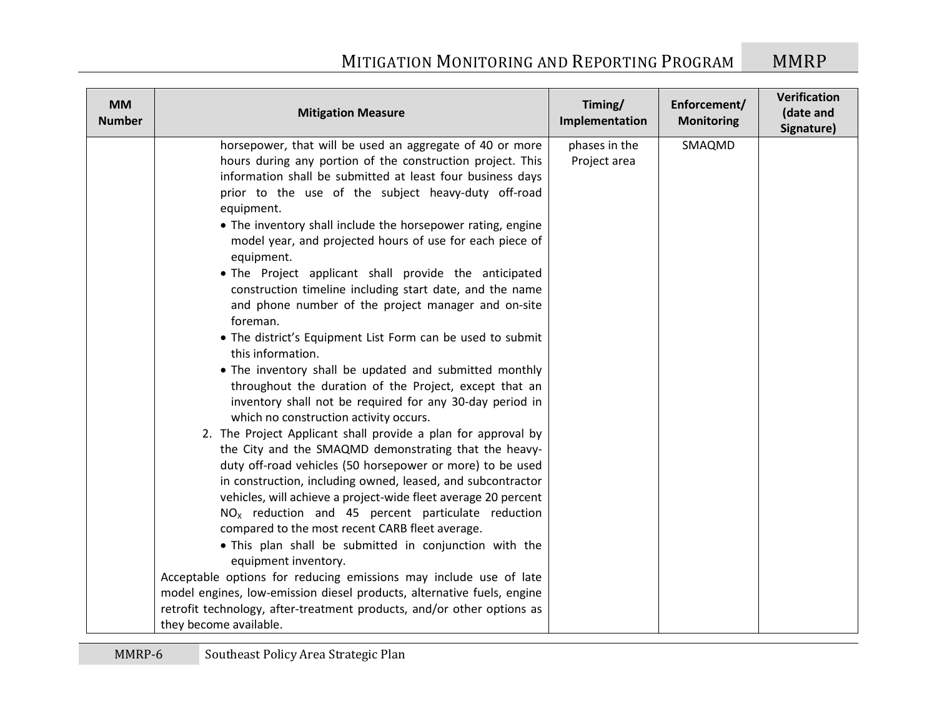| <b>MM</b><br><b>Number</b> | <b>Mitigation Measure</b>                                                                                                                                                                                                                                                                                                                                                                                                                                                                                                                                                                                                                                                                                                                                                                                                                                                                                                                                                                                                                                                                                                                                                                                                                                                                                                                                                                                                                                                                                                                                                                                                                             | Timing/<br>Implementation     | Enforcement/<br><b>Monitoring</b> | Verification<br>(date and<br>Signature) |
|----------------------------|-------------------------------------------------------------------------------------------------------------------------------------------------------------------------------------------------------------------------------------------------------------------------------------------------------------------------------------------------------------------------------------------------------------------------------------------------------------------------------------------------------------------------------------------------------------------------------------------------------------------------------------------------------------------------------------------------------------------------------------------------------------------------------------------------------------------------------------------------------------------------------------------------------------------------------------------------------------------------------------------------------------------------------------------------------------------------------------------------------------------------------------------------------------------------------------------------------------------------------------------------------------------------------------------------------------------------------------------------------------------------------------------------------------------------------------------------------------------------------------------------------------------------------------------------------------------------------------------------------------------------------------------------------|-------------------------------|-----------------------------------|-----------------------------------------|
|                            | horsepower, that will be used an aggregate of 40 or more<br>hours during any portion of the construction project. This<br>information shall be submitted at least four business days<br>prior to the use of the subject heavy-duty off-road<br>equipment.<br>• The inventory shall include the horsepower rating, engine<br>model year, and projected hours of use for each piece of<br>equipment.<br>. The Project applicant shall provide the anticipated<br>construction timeline including start date, and the name<br>and phone number of the project manager and on-site<br>foreman.<br>• The district's Equipment List Form can be used to submit<br>this information.<br>• The inventory shall be updated and submitted monthly<br>throughout the duration of the Project, except that an<br>inventory shall not be required for any 30-day period in<br>which no construction activity occurs.<br>2. The Project Applicant shall provide a plan for approval by<br>the City and the SMAQMD demonstrating that the heavy-<br>duty off-road vehicles (50 horsepower or more) to be used<br>in construction, including owned, leased, and subcontractor<br>vehicles, will achieve a project-wide fleet average 20 percent<br>$NOx$ reduction and 45 percent particulate reduction<br>compared to the most recent CARB fleet average.<br>. This plan shall be submitted in conjunction with the<br>equipment inventory.<br>Acceptable options for reducing emissions may include use of late<br>model engines, low-emission diesel products, alternative fuels, engine<br>retrofit technology, after-treatment products, and/or other options as | phases in the<br>Project area | SMAQMD                            |                                         |
|                            | they become available.                                                                                                                                                                                                                                                                                                                                                                                                                                                                                                                                                                                                                                                                                                                                                                                                                                                                                                                                                                                                                                                                                                                                                                                                                                                                                                                                                                                                                                                                                                                                                                                                                                |                               |                                   |                                         |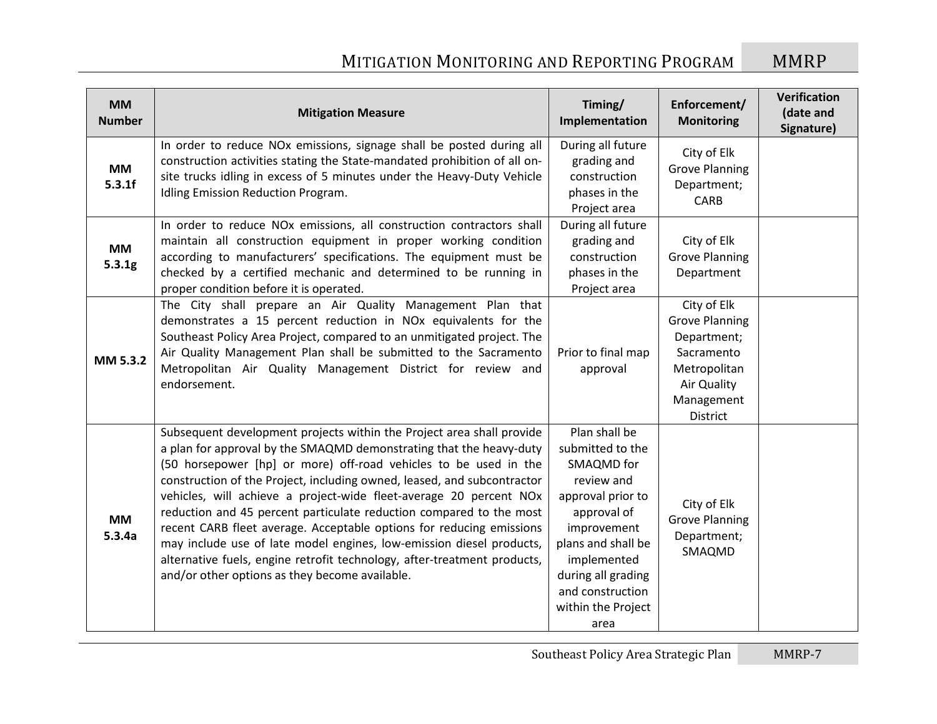| <b>MM</b><br><b>Number</b> | <b>Mitigation Measure</b>                                                                                                                                                                                                                                                                                                                                                                                                                                                                                                                                                                                                                                                                                              | Timing/<br>Implementation                                                                                                                                                                                                     | Enforcement/<br><b>Monitoring</b>                                                                                          | Verification<br>(date and<br>Signature) |
|----------------------------|------------------------------------------------------------------------------------------------------------------------------------------------------------------------------------------------------------------------------------------------------------------------------------------------------------------------------------------------------------------------------------------------------------------------------------------------------------------------------------------------------------------------------------------------------------------------------------------------------------------------------------------------------------------------------------------------------------------------|-------------------------------------------------------------------------------------------------------------------------------------------------------------------------------------------------------------------------------|----------------------------------------------------------------------------------------------------------------------------|-----------------------------------------|
| <b>MM</b><br>5.3.1f        | In order to reduce NOx emissions, signage shall be posted during all<br>construction activities stating the State-mandated prohibition of all on-<br>site trucks idling in excess of 5 minutes under the Heavy-Duty Vehicle<br>Idling Emission Reduction Program.                                                                                                                                                                                                                                                                                                                                                                                                                                                      | During all future<br>grading and<br>construction<br>phases in the<br>Project area                                                                                                                                             | City of Elk<br><b>Grove Planning</b><br>Department;<br>CARB                                                                |                                         |
| <b>MM</b><br>5.3.1g        | In order to reduce NOx emissions, all construction contractors shall<br>maintain all construction equipment in proper working condition<br>according to manufacturers' specifications. The equipment must be<br>checked by a certified mechanic and determined to be running in<br>proper condition before it is operated.                                                                                                                                                                                                                                                                                                                                                                                             | During all future<br>grading and<br>construction<br>phases in the<br>Project area                                                                                                                                             | City of Elk<br><b>Grove Planning</b><br>Department                                                                         |                                         |
| MM 5.3.2                   | The City shall prepare an Air Quality Management Plan that<br>demonstrates a 15 percent reduction in NOx equivalents for the<br>Southeast Policy Area Project, compared to an unmitigated project. The<br>Air Quality Management Plan shall be submitted to the Sacramento<br>Metropolitan Air Quality Management District for review and<br>endorsement.                                                                                                                                                                                                                                                                                                                                                              | Prior to final map<br>approval                                                                                                                                                                                                | City of Elk<br><b>Grove Planning</b><br>Department;<br>Sacramento<br>Metropolitan<br>Air Quality<br>Management<br>District |                                         |
| <b>MM</b><br>5.3.4a        | Subsequent development projects within the Project area shall provide<br>a plan for approval by the SMAQMD demonstrating that the heavy-duty<br>(50 horsepower [hp] or more) off-road vehicles to be used in the<br>construction of the Project, including owned, leased, and subcontractor<br>vehicles, will achieve a project-wide fleet-average 20 percent NOx<br>reduction and 45 percent particulate reduction compared to the most<br>recent CARB fleet average. Acceptable options for reducing emissions<br>may include use of late model engines, low-emission diesel products,<br>alternative fuels, engine retrofit technology, after-treatment products,<br>and/or other options as they become available. | Plan shall be<br>submitted to the<br>SMAQMD for<br>review and<br>approval prior to<br>approval of<br>improvement<br>plans and shall be<br>implemented<br>during all grading<br>and construction<br>within the Project<br>area | City of Elk<br><b>Grove Planning</b><br>Department;<br>SMAQMD                                                              |                                         |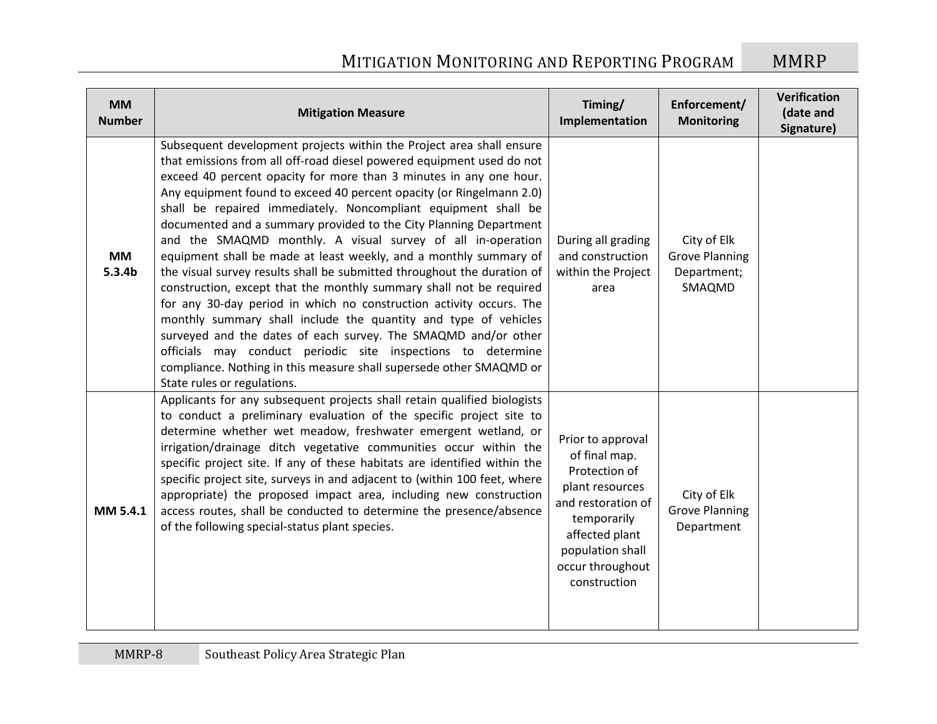| <b>MM</b><br><b>Number</b>      | <b>Mitigation Measure</b>                                                                                                                                                                                                                                                                                                                                                                                                                                                                                                                                                                                                                                                                                                                                                                                                                                                                                                                                                                                                                                                                                  | Timing/<br>Implementation                                                                                                                                                             | Enforcement/<br><b>Monitoring</b>                             | Verification<br>(date and<br>Signature) |
|---------------------------------|------------------------------------------------------------------------------------------------------------------------------------------------------------------------------------------------------------------------------------------------------------------------------------------------------------------------------------------------------------------------------------------------------------------------------------------------------------------------------------------------------------------------------------------------------------------------------------------------------------------------------------------------------------------------------------------------------------------------------------------------------------------------------------------------------------------------------------------------------------------------------------------------------------------------------------------------------------------------------------------------------------------------------------------------------------------------------------------------------------|---------------------------------------------------------------------------------------------------------------------------------------------------------------------------------------|---------------------------------------------------------------|-----------------------------------------|
| <b>MM</b><br>5.3.4 <sub>b</sub> | Subsequent development projects within the Project area shall ensure<br>that emissions from all off-road diesel powered equipment used do not<br>exceed 40 percent opacity for more than 3 minutes in any one hour.<br>Any equipment found to exceed 40 percent opacity (or Ringelmann 2.0)<br>shall be repaired immediately. Noncompliant equipment shall be<br>documented and a summary provided to the City Planning Department<br>and the SMAQMD monthly. A visual survey of all in-operation<br>equipment shall be made at least weekly, and a monthly summary of<br>the visual survey results shall be submitted throughout the duration of<br>construction, except that the monthly summary shall not be required<br>for any 30-day period in which no construction activity occurs. The<br>monthly summary shall include the quantity and type of vehicles<br>surveyed and the dates of each survey. The SMAQMD and/or other<br>officials may conduct periodic site inspections to determine<br>compliance. Nothing in this measure shall supersede other SMAQMD or<br>State rules or regulations. | During all grading<br>and construction<br>within the Project<br>area                                                                                                                  | City of Elk<br><b>Grove Planning</b><br>Department;<br>SMAQMD |                                         |
| MM 5.4.1                        | Applicants for any subsequent projects shall retain qualified biologists<br>to conduct a preliminary evaluation of the specific project site to<br>determine whether wet meadow, freshwater emergent wetland, or<br>irrigation/drainage ditch vegetative communities occur within the<br>specific project site. If any of these habitats are identified within the<br>specific project site, surveys in and adjacent to (within 100 feet, where<br>appropriate) the proposed impact area, including new construction<br>access routes, shall be conducted to determine the presence/absence<br>of the following special-status plant species.                                                                                                                                                                                                                                                                                                                                                                                                                                                              | Prior to approval<br>of final map.<br>Protection of<br>plant resources<br>and restoration of<br>temporarily<br>affected plant<br>population shall<br>occur throughout<br>construction | City of Elk<br><b>Grove Planning</b><br>Department            |                                         |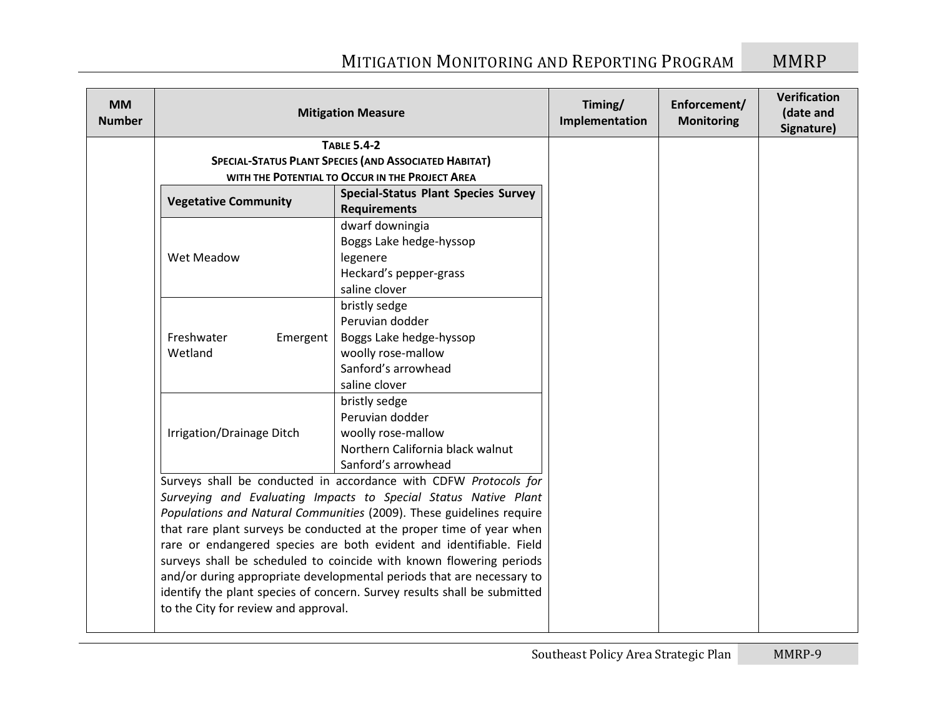| <b>MM</b><br><b>Number</b> |                                      | <b>Mitigation Measure</b>                                                | Timing/<br>Implementation | Enforcement/<br><b>Monitoring</b> | <b>Verification</b><br>(date and<br>Signature) |
|----------------------------|--------------------------------------|--------------------------------------------------------------------------|---------------------------|-----------------------------------|------------------------------------------------|
|                            |                                      | <b>TABLE 5.4-2</b>                                                       |                           |                                   |                                                |
|                            |                                      | <b>SPECIAL-STATUS PLANT SPECIES (AND ASSOCIATED HABITAT)</b>             |                           |                                   |                                                |
|                            |                                      | WITH THE POTENTIAL TO OCCUR IN THE PROJECT AREA                          |                           |                                   |                                                |
|                            | <b>Vegetative Community</b>          | <b>Special-Status Plant Species Survey</b><br><b>Requirements</b>        |                           |                                   |                                                |
|                            |                                      | dwarf downingia                                                          |                           |                                   |                                                |
|                            |                                      | Boggs Lake hedge-hyssop                                                  |                           |                                   |                                                |
|                            | Wet Meadow                           | legenere                                                                 |                           |                                   |                                                |
|                            |                                      | Heckard's pepper-grass                                                   |                           |                                   |                                                |
|                            |                                      | saline clover                                                            |                           |                                   |                                                |
|                            |                                      | bristly sedge                                                            |                           |                                   |                                                |
|                            |                                      | Peruvian dodder                                                          |                           |                                   |                                                |
|                            | Freshwater<br>Emergent               | Boggs Lake hedge-hyssop                                                  |                           |                                   |                                                |
|                            | Wetland                              | woolly rose-mallow                                                       |                           |                                   |                                                |
|                            |                                      | Sanford's arrowhead                                                      |                           |                                   |                                                |
|                            |                                      | saline clover                                                            |                           |                                   |                                                |
|                            |                                      | bristly sedge                                                            |                           |                                   |                                                |
|                            |                                      | Peruvian dodder                                                          |                           |                                   |                                                |
|                            | Irrigation/Drainage Ditch            | woolly rose-mallow                                                       |                           |                                   |                                                |
|                            |                                      | Northern California black walnut                                         |                           |                                   |                                                |
|                            |                                      | Sanford's arrowhead                                                      |                           |                                   |                                                |
|                            |                                      | Surveys shall be conducted in accordance with CDFW Protocols for         |                           |                                   |                                                |
|                            |                                      | Surveying and Evaluating Impacts to Special Status Native Plant          |                           |                                   |                                                |
|                            |                                      | Populations and Natural Communities (2009). These guidelines require     |                           |                                   |                                                |
|                            |                                      | that rare plant surveys be conducted at the proper time of year when     |                           |                                   |                                                |
|                            |                                      | rare or endangered species are both evident and identifiable. Field      |                           |                                   |                                                |
|                            |                                      | surveys shall be scheduled to coincide with known flowering periods      |                           |                                   |                                                |
|                            |                                      | and/or during appropriate developmental periods that are necessary to    |                           |                                   |                                                |
|                            |                                      | identify the plant species of concern. Survey results shall be submitted |                           |                                   |                                                |
|                            | to the City for review and approval. |                                                                          |                           |                                   |                                                |
|                            |                                      |                                                                          |                           |                                   |                                                |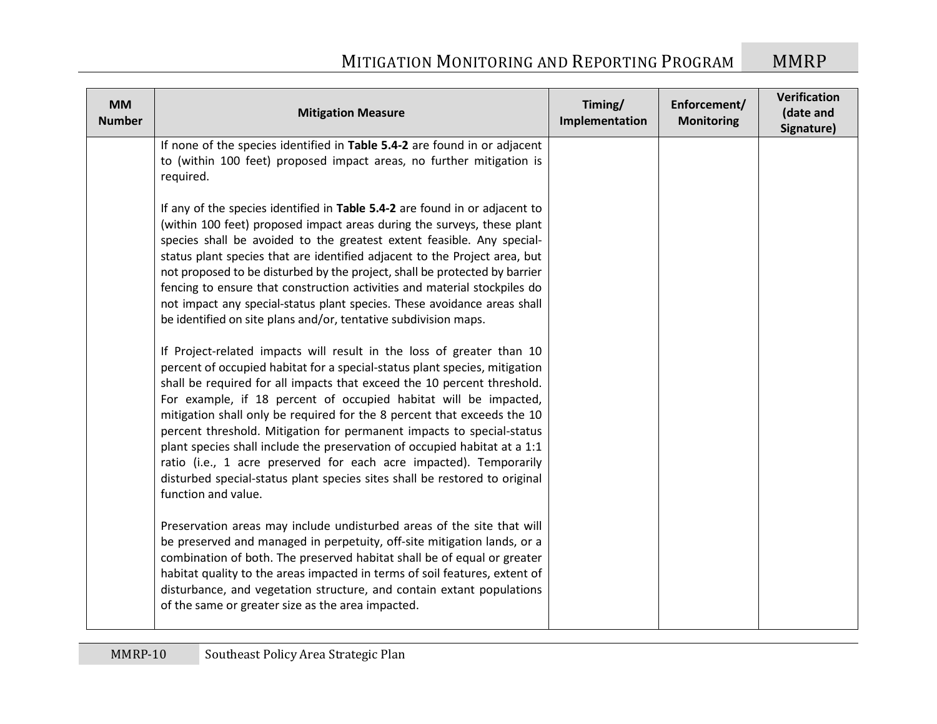| <b>MM</b><br><b>Number</b> | <b>Mitigation Measure</b>                                                                                                                                                                                                                                                                                                                                                                                                                                                                                                                                                                                                                                                                                      | Timing/<br>Implementation | Enforcement/<br><b>Monitoring</b> | <b>Verification</b><br>(date and<br>Signature) |
|----------------------------|----------------------------------------------------------------------------------------------------------------------------------------------------------------------------------------------------------------------------------------------------------------------------------------------------------------------------------------------------------------------------------------------------------------------------------------------------------------------------------------------------------------------------------------------------------------------------------------------------------------------------------------------------------------------------------------------------------------|---------------------------|-----------------------------------|------------------------------------------------|
|                            | If none of the species identified in Table 5.4-2 are found in or adjacent<br>to (within 100 feet) proposed impact areas, no further mitigation is<br>required.                                                                                                                                                                                                                                                                                                                                                                                                                                                                                                                                                 |                           |                                   |                                                |
|                            | If any of the species identified in Table 5.4-2 are found in or adjacent to<br>(within 100 feet) proposed impact areas during the surveys, these plant<br>species shall be avoided to the greatest extent feasible. Any special-<br>status plant species that are identified adjacent to the Project area, but<br>not proposed to be disturbed by the project, shall be protected by barrier<br>fencing to ensure that construction activities and material stockpiles do<br>not impact any special-status plant species. These avoidance areas shall<br>be identified on site plans and/or, tentative subdivision maps.                                                                                       |                           |                                   |                                                |
|                            | If Project-related impacts will result in the loss of greater than 10<br>percent of occupied habitat for a special-status plant species, mitigation<br>shall be required for all impacts that exceed the 10 percent threshold.<br>For example, if 18 percent of occupied habitat will be impacted,<br>mitigation shall only be required for the 8 percent that exceeds the 10<br>percent threshold. Mitigation for permanent impacts to special-status<br>plant species shall include the preservation of occupied habitat at a 1:1<br>ratio (i.e., 1 acre preserved for each acre impacted). Temporarily<br>disturbed special-status plant species sites shall be restored to original<br>function and value. |                           |                                   |                                                |
|                            | Preservation areas may include undisturbed areas of the site that will<br>be preserved and managed in perpetuity, off-site mitigation lands, or a<br>combination of both. The preserved habitat shall be of equal or greater<br>habitat quality to the areas impacted in terms of soil features, extent of<br>disturbance, and vegetation structure, and contain extant populations<br>of the same or greater size as the area impacted.                                                                                                                                                                                                                                                                       |                           |                                   |                                                |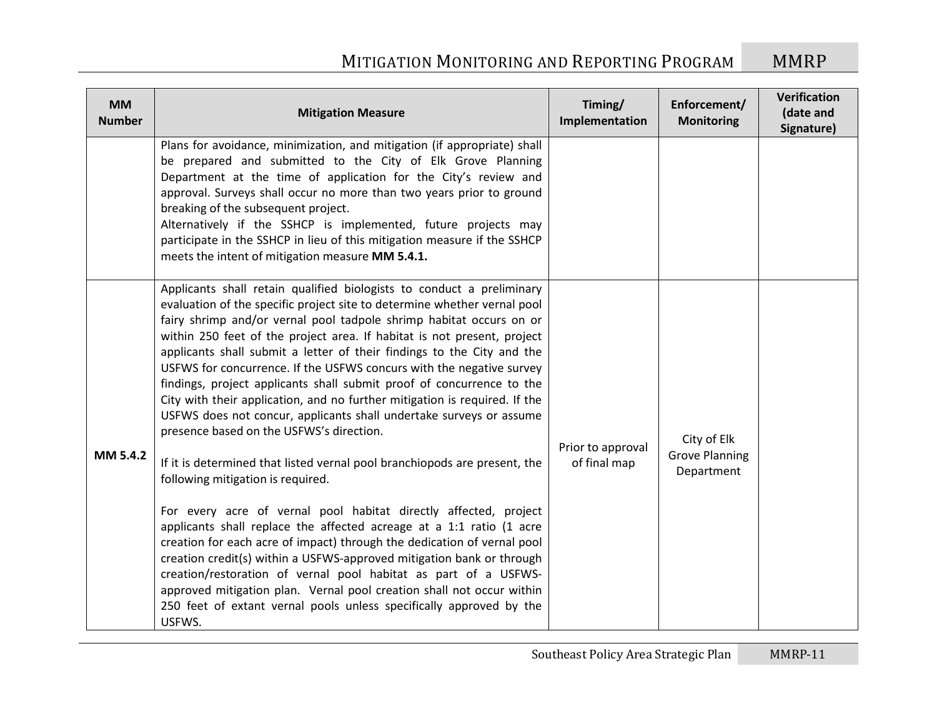| <b>MM</b><br><b>Number</b> | <b>Mitigation Measure</b>                                                                                                                                                                                                                                                                                                                                                                                                                                                                                                                                                                                                                                                                                                                                                                                                                                                                                                                                                                                                                                                                                                                                                                                                                                                                                                                                                      | Timing/<br>Implementation         | Enforcement/<br><b>Monitoring</b>                  | Verification<br>(date and<br>Signature) |
|----------------------------|--------------------------------------------------------------------------------------------------------------------------------------------------------------------------------------------------------------------------------------------------------------------------------------------------------------------------------------------------------------------------------------------------------------------------------------------------------------------------------------------------------------------------------------------------------------------------------------------------------------------------------------------------------------------------------------------------------------------------------------------------------------------------------------------------------------------------------------------------------------------------------------------------------------------------------------------------------------------------------------------------------------------------------------------------------------------------------------------------------------------------------------------------------------------------------------------------------------------------------------------------------------------------------------------------------------------------------------------------------------------------------|-----------------------------------|----------------------------------------------------|-----------------------------------------|
|                            | Plans for avoidance, minimization, and mitigation (if appropriate) shall<br>be prepared and submitted to the City of Elk Grove Planning<br>Department at the time of application for the City's review and<br>approval. Surveys shall occur no more than two years prior to ground<br>breaking of the subsequent project.<br>Alternatively if the SSHCP is implemented, future projects may<br>participate in the SSHCP in lieu of this mitigation measure if the SSHCP<br>meets the intent of mitigation measure MM 5.4.1.                                                                                                                                                                                                                                                                                                                                                                                                                                                                                                                                                                                                                                                                                                                                                                                                                                                    |                                   |                                                    |                                         |
| MM 5.4.2                   | Applicants shall retain qualified biologists to conduct a preliminary<br>evaluation of the specific project site to determine whether vernal pool<br>fairy shrimp and/or vernal pool tadpole shrimp habitat occurs on or<br>within 250 feet of the project area. If habitat is not present, project<br>applicants shall submit a letter of their findings to the City and the<br>USFWS for concurrence. If the USFWS concurs with the negative survey<br>findings, project applicants shall submit proof of concurrence to the<br>City with their application, and no further mitigation is required. If the<br>USFWS does not concur, applicants shall undertake surveys or assume<br>presence based on the USFWS's direction.<br>If it is determined that listed vernal pool branchiopods are present, the<br>following mitigation is required.<br>For every acre of vernal pool habitat directly affected, project<br>applicants shall replace the affected acreage at a 1:1 ratio (1 acre<br>creation for each acre of impact) through the dedication of vernal pool<br>creation credit(s) within a USFWS-approved mitigation bank or through<br>creation/restoration of vernal pool habitat as part of a USFWS-<br>approved mitigation plan. Vernal pool creation shall not occur within<br>250 feet of extant vernal pools unless specifically approved by the<br>USFWS. | Prior to approval<br>of final map | City of Elk<br><b>Grove Planning</b><br>Department |                                         |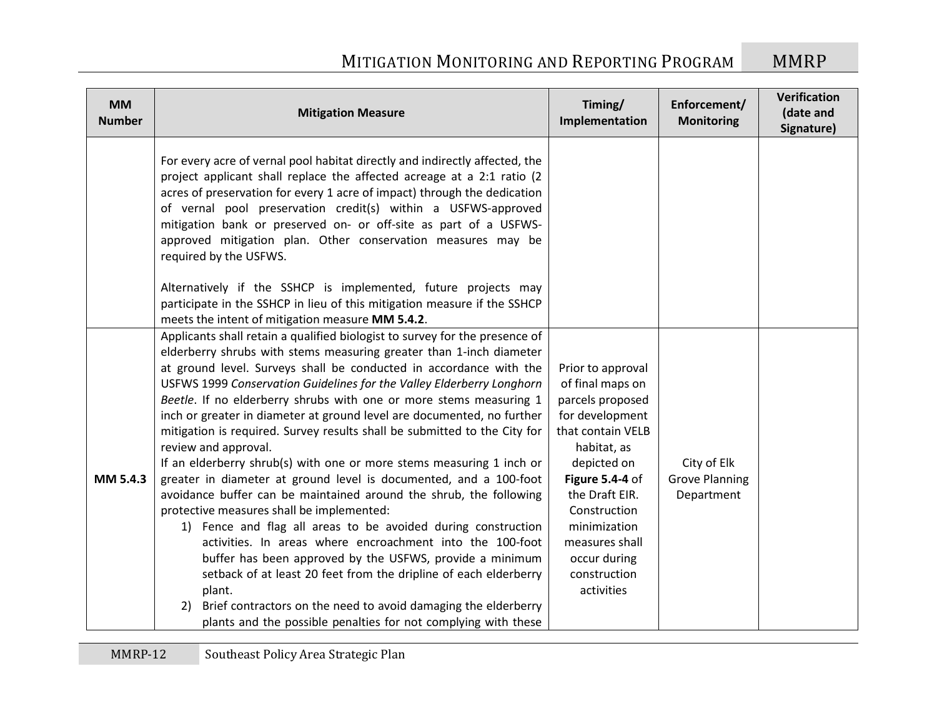| <b>MM</b><br><b>Number</b> | <b>Mitigation Measure</b>                                                                                                                                                                                                                                                                                                                                                                                                                                                                                                                                                                                                                                                                                                                                                                                                                                                                                                                                                                                                                                                                                                                                                                                                                | Timing/<br>Implementation                                                                                                                                                                                                                                            | Enforcement/<br><b>Monitoring</b>                  | Verification<br>(date and<br>Signature) |
|----------------------------|------------------------------------------------------------------------------------------------------------------------------------------------------------------------------------------------------------------------------------------------------------------------------------------------------------------------------------------------------------------------------------------------------------------------------------------------------------------------------------------------------------------------------------------------------------------------------------------------------------------------------------------------------------------------------------------------------------------------------------------------------------------------------------------------------------------------------------------------------------------------------------------------------------------------------------------------------------------------------------------------------------------------------------------------------------------------------------------------------------------------------------------------------------------------------------------------------------------------------------------|----------------------------------------------------------------------------------------------------------------------------------------------------------------------------------------------------------------------------------------------------------------------|----------------------------------------------------|-----------------------------------------|
|                            | For every acre of vernal pool habitat directly and indirectly affected, the<br>project applicant shall replace the affected acreage at a 2:1 ratio (2<br>acres of preservation for every 1 acre of impact) through the dedication<br>of vernal pool preservation credit(s) within a USFWS-approved<br>mitigation bank or preserved on- or off-site as part of a USFWS-<br>approved mitigation plan. Other conservation measures may be<br>required by the USFWS.                                                                                                                                                                                                                                                                                                                                                                                                                                                                                                                                                                                                                                                                                                                                                                         |                                                                                                                                                                                                                                                                      |                                                    |                                         |
|                            | Alternatively if the SSHCP is implemented, future projects may<br>participate in the SSHCP in lieu of this mitigation measure if the SSHCP<br>meets the intent of mitigation measure MM 5.4.2.                                                                                                                                                                                                                                                                                                                                                                                                                                                                                                                                                                                                                                                                                                                                                                                                                                                                                                                                                                                                                                           |                                                                                                                                                                                                                                                                      |                                                    |                                         |
| MM 5.4.3                   | Applicants shall retain a qualified biologist to survey for the presence of<br>elderberry shrubs with stems measuring greater than 1-inch diameter<br>at ground level. Surveys shall be conducted in accordance with the<br>USFWS 1999 Conservation Guidelines for the Valley Elderberry Longhorn<br>Beetle. If no elderberry shrubs with one or more stems measuring 1<br>inch or greater in diameter at ground level are documented, no further<br>mitigation is required. Survey results shall be submitted to the City for<br>review and approval.<br>If an elderberry shrub(s) with one or more stems measuring 1 inch or<br>greater in diameter at ground level is documented, and a 100-foot<br>avoidance buffer can be maintained around the shrub, the following<br>protective measures shall be implemented:<br>1) Fence and flag all areas to be avoided during construction<br>activities. In areas where encroachment into the 100-foot<br>buffer has been approved by the USFWS, provide a minimum<br>setback of at least 20 feet from the dripline of each elderberry<br>plant.<br>Brief contractors on the need to avoid damaging the elderberry<br>2)<br>plants and the possible penalties for not complying with these | Prior to approval<br>of final maps on<br>parcels proposed<br>for development<br>that contain VELB<br>habitat, as<br>depicted on<br>Figure 5.4-4 of<br>the Draft EIR.<br>Construction<br>minimization<br>measures shall<br>occur during<br>construction<br>activities | City of Elk<br><b>Grove Planning</b><br>Department |                                         |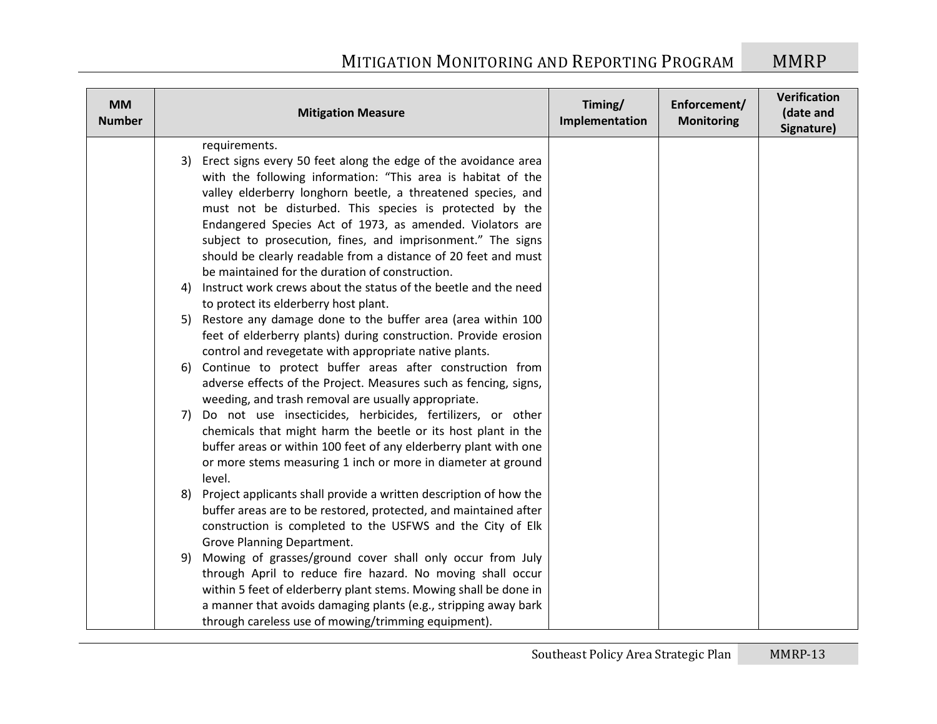| <b>MM</b><br><b>Number</b> |    | <b>Mitigation Measure</b>                                         | Timing/<br>Implementation | Enforcement/<br><b>Monitoring</b> | Verification<br>(date and<br>Signature) |
|----------------------------|----|-------------------------------------------------------------------|---------------------------|-----------------------------------|-----------------------------------------|
|                            |    | requirements.                                                     |                           |                                   |                                         |
|                            |    | 3) Erect signs every 50 feet along the edge of the avoidance area |                           |                                   |                                         |
|                            |    | with the following information: "This area is habitat of the      |                           |                                   |                                         |
|                            |    | valley elderberry longhorn beetle, a threatened species, and      |                           |                                   |                                         |
|                            |    | must not be disturbed. This species is protected by the           |                           |                                   |                                         |
|                            |    | Endangered Species Act of 1973, as amended. Violators are         |                           |                                   |                                         |
|                            |    | subject to prosecution, fines, and imprisonment." The signs       |                           |                                   |                                         |
|                            |    | should be clearly readable from a distance of 20 feet and must    |                           |                                   |                                         |
|                            |    | be maintained for the duration of construction.                   |                           |                                   |                                         |
|                            | 4) | Instruct work crews about the status of the beetle and the need   |                           |                                   |                                         |
|                            |    | to protect its elderberry host plant.                             |                           |                                   |                                         |
|                            |    | 5) Restore any damage done to the buffer area (area within 100    |                           |                                   |                                         |
|                            |    | feet of elderberry plants) during construction. Provide erosion   |                           |                                   |                                         |
|                            |    | control and revegetate with appropriate native plants.            |                           |                                   |                                         |
|                            |    | 6) Continue to protect buffer areas after construction from       |                           |                                   |                                         |
|                            |    | adverse effects of the Project. Measures such as fencing, signs,  |                           |                                   |                                         |
|                            |    | weeding, and trash removal are usually appropriate.               |                           |                                   |                                         |
|                            | 7) | Do not use insecticides, herbicides, fertilizers, or other        |                           |                                   |                                         |
|                            |    | chemicals that might harm the beetle or its host plant in the     |                           |                                   |                                         |
|                            |    | buffer areas or within 100 feet of any elderberry plant with one  |                           |                                   |                                         |
|                            |    | or more stems measuring 1 inch or more in diameter at ground      |                           |                                   |                                         |
|                            |    | level.                                                            |                           |                                   |                                         |
|                            | 8) | Project applicants shall provide a written description of how the |                           |                                   |                                         |
|                            |    | buffer areas are to be restored, protected, and maintained after  |                           |                                   |                                         |
|                            |    | construction is completed to the USFWS and the City of Elk        |                           |                                   |                                         |
|                            |    | Grove Planning Department.                                        |                           |                                   |                                         |
|                            | 9) | Mowing of grasses/ground cover shall only occur from July         |                           |                                   |                                         |
|                            |    | through April to reduce fire hazard. No moving shall occur        |                           |                                   |                                         |
|                            |    | within 5 feet of elderberry plant stems. Mowing shall be done in  |                           |                                   |                                         |
|                            |    | a manner that avoids damaging plants (e.g., stripping away bark   |                           |                                   |                                         |
|                            |    | through careless use of mowing/trimming equipment).               |                           |                                   |                                         |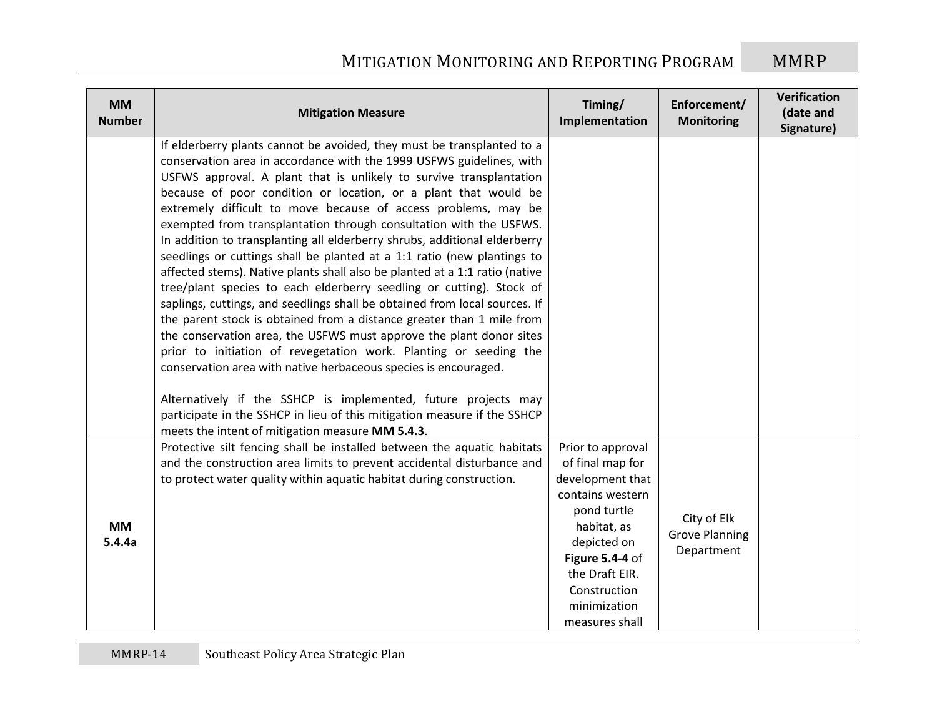| <b>MM</b><br><b>Number</b> | <b>Mitigation Measure</b>                                                                                                                                                                                                                                                                                                                                                                                                                                                                                                                                                                                                                                                                                                                                                                                                                                                                                                                                                                                                                                                                                                                                                                                                                                                                                               | Timing/<br>Implementation                                                                                                                                                                                         | Enforcement/<br><b>Monitoring</b>                  | Verification<br>(date and<br>Signature) |
|----------------------------|-------------------------------------------------------------------------------------------------------------------------------------------------------------------------------------------------------------------------------------------------------------------------------------------------------------------------------------------------------------------------------------------------------------------------------------------------------------------------------------------------------------------------------------------------------------------------------------------------------------------------------------------------------------------------------------------------------------------------------------------------------------------------------------------------------------------------------------------------------------------------------------------------------------------------------------------------------------------------------------------------------------------------------------------------------------------------------------------------------------------------------------------------------------------------------------------------------------------------------------------------------------------------------------------------------------------------|-------------------------------------------------------------------------------------------------------------------------------------------------------------------------------------------------------------------|----------------------------------------------------|-----------------------------------------|
|                            | If elderberry plants cannot be avoided, they must be transplanted to a<br>conservation area in accordance with the 1999 USFWS guidelines, with<br>USFWS approval. A plant that is unlikely to survive transplantation<br>because of poor condition or location, or a plant that would be<br>extremely difficult to move because of access problems, may be<br>exempted from transplantation through consultation with the USFWS.<br>In addition to transplanting all elderberry shrubs, additional elderberry<br>seedlings or cuttings shall be planted at a 1:1 ratio (new plantings to<br>affected stems). Native plants shall also be planted at a 1:1 ratio (native<br>tree/plant species to each elderberry seedling or cutting). Stock of<br>saplings, cuttings, and seedlings shall be obtained from local sources. If<br>the parent stock is obtained from a distance greater than 1 mile from<br>the conservation area, the USFWS must approve the plant donor sites<br>prior to initiation of revegetation work. Planting or seeding the<br>conservation area with native herbaceous species is encouraged.<br>Alternatively if the SSHCP is implemented, future projects may<br>participate in the SSHCP in lieu of this mitigation measure if the SSHCP<br>meets the intent of mitigation measure MM 5.4.3. |                                                                                                                                                                                                                   |                                                    |                                         |
| <b>MM</b><br>5.4.4a        | Protective silt fencing shall be installed between the aquatic habitats<br>and the construction area limits to prevent accidental disturbance and<br>to protect water quality within aquatic habitat during construction.                                                                                                                                                                                                                                                                                                                                                                                                                                                                                                                                                                                                                                                                                                                                                                                                                                                                                                                                                                                                                                                                                               | Prior to approval<br>of final map for<br>development that<br>contains western<br>pond turtle<br>habitat, as<br>depicted on<br>Figure 5.4-4 of<br>the Draft EIR.<br>Construction<br>minimization<br>measures shall | City of Elk<br><b>Grove Planning</b><br>Department |                                         |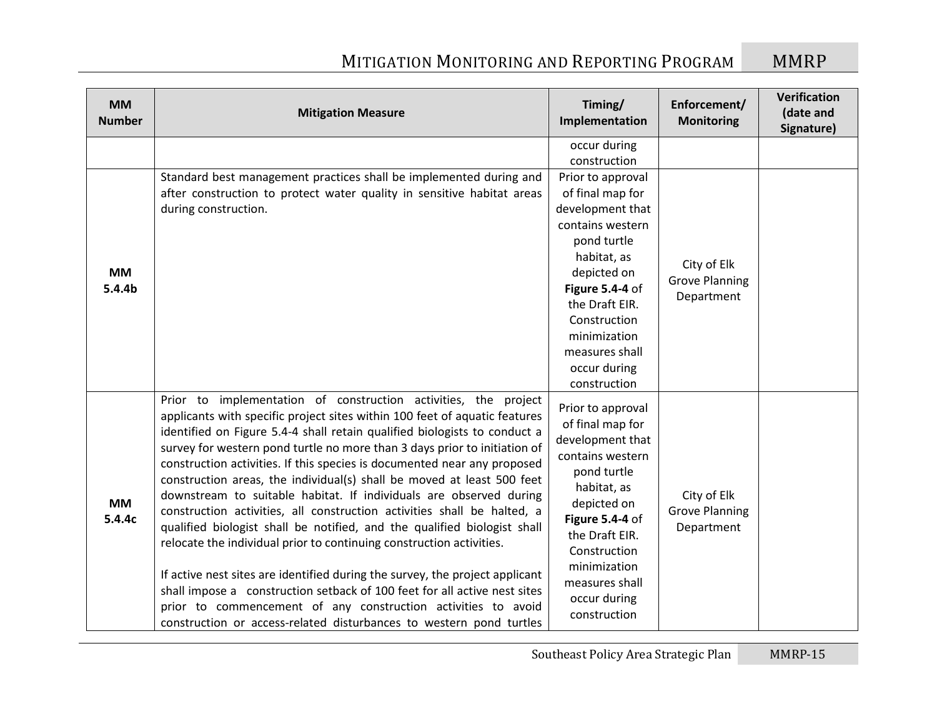| <b>MM</b><br><b>Number</b> | <b>Mitigation Measure</b>                                                                                                                                                                                                                                                                                                                                                                                                                                                                                                                                                                                                                                                                                                                                                                                                                                                                                                                                                                                                                                               | Timing/<br>Implementation                                                                                                                                                                                                                         | Enforcement/<br><b>Monitoring</b>                  | Verification<br>(date and<br>Signature) |
|----------------------------|-------------------------------------------------------------------------------------------------------------------------------------------------------------------------------------------------------------------------------------------------------------------------------------------------------------------------------------------------------------------------------------------------------------------------------------------------------------------------------------------------------------------------------------------------------------------------------------------------------------------------------------------------------------------------------------------------------------------------------------------------------------------------------------------------------------------------------------------------------------------------------------------------------------------------------------------------------------------------------------------------------------------------------------------------------------------------|---------------------------------------------------------------------------------------------------------------------------------------------------------------------------------------------------------------------------------------------------|----------------------------------------------------|-----------------------------------------|
|                            |                                                                                                                                                                                                                                                                                                                                                                                                                                                                                                                                                                                                                                                                                                                                                                                                                                                                                                                                                                                                                                                                         | occur during<br>construction                                                                                                                                                                                                                      |                                                    |                                         |
| <b>MM</b><br>5.4.4b        | Standard best management practices shall be implemented during and<br>after construction to protect water quality in sensitive habitat areas<br>during construction.                                                                                                                                                                                                                                                                                                                                                                                                                                                                                                                                                                                                                                                                                                                                                                                                                                                                                                    | Prior to approval<br>of final map for<br>development that<br>contains western<br>pond turtle<br>habitat, as<br>depicted on<br>Figure 5.4-4 of<br>the Draft EIR.<br>Construction<br>minimization<br>measures shall<br>occur during<br>construction | City of Elk<br><b>Grove Planning</b><br>Department |                                         |
| <b>MM</b><br>5.4.4c        | Prior to implementation of construction activities, the project<br>applicants with specific project sites within 100 feet of aquatic features<br>identified on Figure 5.4-4 shall retain qualified biologists to conduct a<br>survey for western pond turtle no more than 3 days prior to initiation of<br>construction activities. If this species is documented near any proposed<br>construction areas, the individual(s) shall be moved at least 500 feet<br>downstream to suitable habitat. If individuals are observed during<br>construction activities, all construction activities shall be halted, a<br>qualified biologist shall be notified, and the qualified biologist shall<br>relocate the individual prior to continuing construction activities.<br>If active nest sites are identified during the survey, the project applicant<br>shall impose a construction setback of 100 feet for all active nest sites<br>prior to commencement of any construction activities to avoid<br>construction or access-related disturbances to western pond turtles | Prior to approval<br>of final map for<br>development that<br>contains western<br>pond turtle<br>habitat, as<br>depicted on<br>Figure 5.4-4 of<br>the Draft EIR.<br>Construction<br>minimization<br>measures shall<br>occur during<br>construction | City of Elk<br><b>Grove Planning</b><br>Department |                                         |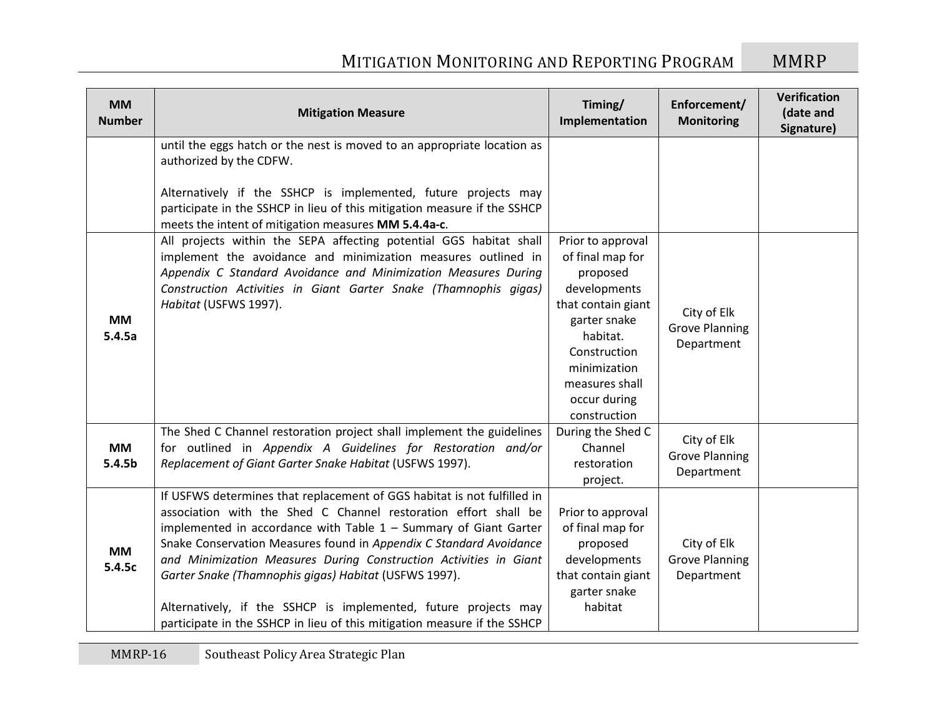| <b>MM</b><br><b>Number</b>      | <b>Mitigation Measure</b>                                                                                                                                                                                                                                                                                                                                                                                                                                                                                                                                           | Timing/<br>Implementation                                                                                                                                                                             | Enforcement/<br><b>Monitoring</b>                  | Verification<br>(date and<br>Signature) |
|---------------------------------|---------------------------------------------------------------------------------------------------------------------------------------------------------------------------------------------------------------------------------------------------------------------------------------------------------------------------------------------------------------------------------------------------------------------------------------------------------------------------------------------------------------------------------------------------------------------|-------------------------------------------------------------------------------------------------------------------------------------------------------------------------------------------------------|----------------------------------------------------|-----------------------------------------|
|                                 | until the eggs hatch or the nest is moved to an appropriate location as<br>authorized by the CDFW.<br>Alternatively if the SSHCP is implemented, future projects may<br>participate in the SSHCP in lieu of this mitigation measure if the SSHCP<br>meets the intent of mitigation measures MM 5.4.4a-c.                                                                                                                                                                                                                                                            |                                                                                                                                                                                                       |                                                    |                                         |
| <b>MM</b><br>5.4.5a             | All projects within the SEPA affecting potential GGS habitat shall<br>implement the avoidance and minimization measures outlined in<br>Appendix C Standard Avoidance and Minimization Measures During<br>Construction Activities in Giant Garter Snake (Thamnophis gigas)<br>Habitat (USFWS 1997).                                                                                                                                                                                                                                                                  | Prior to approval<br>of final map for<br>proposed<br>developments<br>that contain giant<br>garter snake<br>habitat.<br>Construction<br>minimization<br>measures shall<br>occur during<br>construction | City of Elk<br><b>Grove Planning</b><br>Department |                                         |
| <b>MM</b><br>5.4.5 <sub>b</sub> | The Shed C Channel restoration project shall implement the guidelines<br>for outlined in Appendix A Guidelines for Restoration and/or<br>Replacement of Giant Garter Snake Habitat (USFWS 1997).                                                                                                                                                                                                                                                                                                                                                                    | During the Shed C<br>Channel<br>restoration<br>project.                                                                                                                                               | City of Elk<br><b>Grove Planning</b><br>Department |                                         |
| <b>MM</b><br>5.4.5c             | If USFWS determines that replacement of GGS habitat is not fulfilled in<br>association with the Shed C Channel restoration effort shall be<br>implemented in accordance with Table $1$ – Summary of Giant Garter<br>Snake Conservation Measures found in Appendix C Standard Avoidance<br>and Minimization Measures During Construction Activities in Giant<br>Garter Snake (Thamnophis gigas) Habitat (USFWS 1997).<br>Alternatively, if the SSHCP is implemented, future projects may<br>participate in the SSHCP in lieu of this mitigation measure if the SSHCP | Prior to approval<br>of final map for<br>proposed<br>developments<br>that contain giant<br>garter snake<br>habitat                                                                                    | City of Elk<br><b>Grove Planning</b><br>Department |                                         |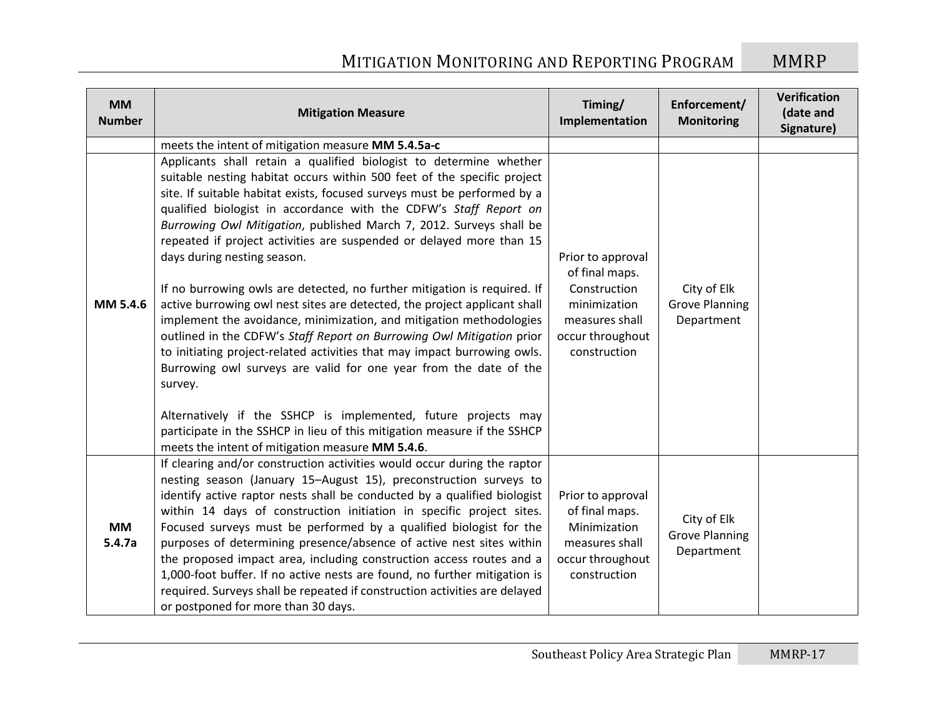| <b>MM</b><br><b>Number</b> | <b>Mitigation Measure</b>                                                                                                                                                                                                                                                                                                                                                                                                                                                                                                                                                                                                                                                                                                                                                                                                                                                                                                                                                                                                                                                                                                                           | Timing/<br>Implementation                                                                                                 | Enforcement/<br><b>Monitoring</b>                  | Verification<br>(date and<br>Signature) |
|----------------------------|-----------------------------------------------------------------------------------------------------------------------------------------------------------------------------------------------------------------------------------------------------------------------------------------------------------------------------------------------------------------------------------------------------------------------------------------------------------------------------------------------------------------------------------------------------------------------------------------------------------------------------------------------------------------------------------------------------------------------------------------------------------------------------------------------------------------------------------------------------------------------------------------------------------------------------------------------------------------------------------------------------------------------------------------------------------------------------------------------------------------------------------------------------|---------------------------------------------------------------------------------------------------------------------------|----------------------------------------------------|-----------------------------------------|
|                            | meets the intent of mitigation measure MM 5.4.5a-c                                                                                                                                                                                                                                                                                                                                                                                                                                                                                                                                                                                                                                                                                                                                                                                                                                                                                                                                                                                                                                                                                                  |                                                                                                                           |                                                    |                                         |
| MM 5.4.6                   | Applicants shall retain a qualified biologist to determine whether<br>suitable nesting habitat occurs within 500 feet of the specific project<br>site. If suitable habitat exists, focused surveys must be performed by a<br>qualified biologist in accordance with the CDFW's Staff Report on<br>Burrowing Owl Mitigation, published March 7, 2012. Surveys shall be<br>repeated if project activities are suspended or delayed more than 15<br>days during nesting season.<br>If no burrowing owls are detected, no further mitigation is required. If<br>active burrowing owl nest sites are detected, the project applicant shall<br>implement the avoidance, minimization, and mitigation methodologies<br>outlined in the CDFW's Staff Report on Burrowing Owl Mitigation prior<br>to initiating project-related activities that may impact burrowing owls.<br>Burrowing owl surveys are valid for one year from the date of the<br>survey.<br>Alternatively if the SSHCP is implemented, future projects may<br>participate in the SSHCP in lieu of this mitigation measure if the SSHCP<br>meets the intent of mitigation measure MM 5.4.6. | Prior to approval<br>of final maps.<br>Construction<br>minimization<br>measures shall<br>occur throughout<br>construction | City of Elk<br><b>Grove Planning</b><br>Department |                                         |
| <b>MM</b><br>5.4.7a        | If clearing and/or construction activities would occur during the raptor<br>nesting season (January 15-August 15), preconstruction surveys to<br>identify active raptor nests shall be conducted by a qualified biologist<br>within 14 days of construction initiation in specific project sites.<br>Focused surveys must be performed by a qualified biologist for the<br>purposes of determining presence/absence of active nest sites within<br>the proposed impact area, including construction access routes and a<br>1,000-foot buffer. If no active nests are found, no further mitigation is<br>required. Surveys shall be repeated if construction activities are delayed<br>or postponed for more than 30 days.                                                                                                                                                                                                                                                                                                                                                                                                                           | Prior to approval<br>of final maps.<br>Minimization<br>measures shall<br>occur throughout<br>construction                 | City of Elk<br><b>Grove Planning</b><br>Department |                                         |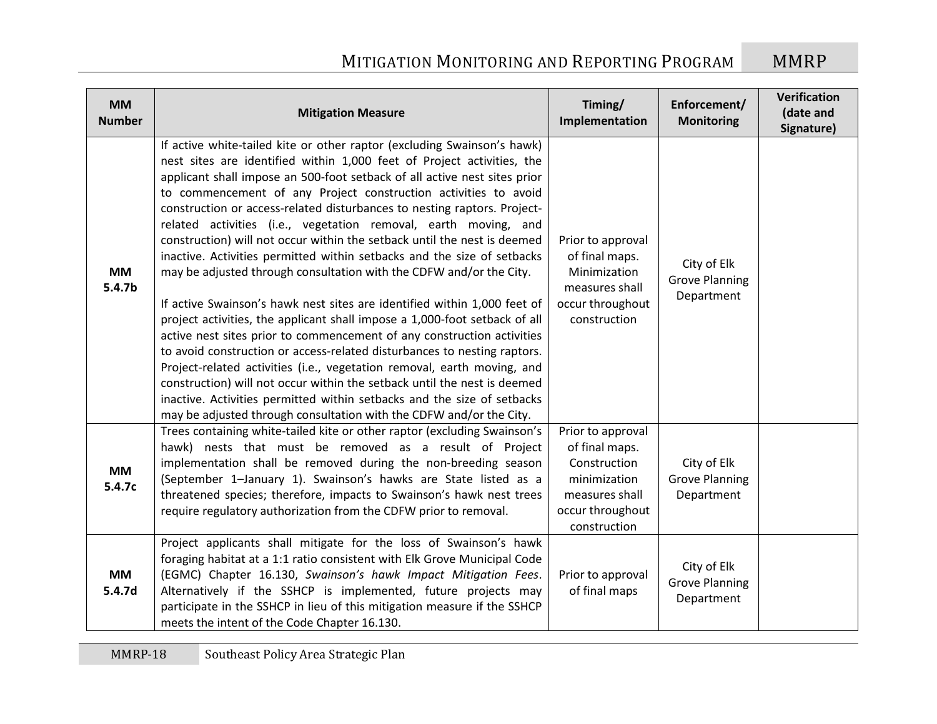| <b>MM</b><br><b>Number</b> | <b>Mitigation Measure</b>                                                                                                                                                                                                                                                                                                                                                                                                                                                                                                                                                                                                                                                                                                                                                                                                                                                                                                                                                                                                                                                                                                                                                                                                                                                                               | Timing/<br>Implementation                                                                                                 | Enforcement/<br><b>Monitoring</b>                  | <b>Verification</b><br>(date and<br>Signature) |
|----------------------------|---------------------------------------------------------------------------------------------------------------------------------------------------------------------------------------------------------------------------------------------------------------------------------------------------------------------------------------------------------------------------------------------------------------------------------------------------------------------------------------------------------------------------------------------------------------------------------------------------------------------------------------------------------------------------------------------------------------------------------------------------------------------------------------------------------------------------------------------------------------------------------------------------------------------------------------------------------------------------------------------------------------------------------------------------------------------------------------------------------------------------------------------------------------------------------------------------------------------------------------------------------------------------------------------------------|---------------------------------------------------------------------------------------------------------------------------|----------------------------------------------------|------------------------------------------------|
| <b>MM</b><br>5.4.7b        | If active white-tailed kite or other raptor (excluding Swainson's hawk)<br>nest sites are identified within 1,000 feet of Project activities, the<br>applicant shall impose an 500-foot setback of all active nest sites prior<br>to commencement of any Project construction activities to avoid<br>construction or access-related disturbances to nesting raptors. Project-<br>related activities (i.e., vegetation removal, earth moving, and<br>construction) will not occur within the setback until the nest is deemed<br>inactive. Activities permitted within setbacks and the size of setbacks<br>may be adjusted through consultation with the CDFW and/or the City.<br>If active Swainson's hawk nest sites are identified within 1,000 feet of<br>project activities, the applicant shall impose a 1,000-foot setback of all<br>active nest sites prior to commencement of any construction activities<br>to avoid construction or access-related disturbances to nesting raptors.<br>Project-related activities (i.e., vegetation removal, earth moving, and<br>construction) will not occur within the setback until the nest is deemed<br>inactive. Activities permitted within setbacks and the size of setbacks<br>may be adjusted through consultation with the CDFW and/or the City. | Prior to approval<br>of final maps.<br>Minimization<br>measures shall<br>occur throughout<br>construction                 | City of Elk<br><b>Grove Planning</b><br>Department |                                                |
| <b>MM</b><br>5.4.7c        | Trees containing white-tailed kite or other raptor (excluding Swainson's<br>hawk) nests that must be removed as a result of Project<br>implementation shall be removed during the non-breeding season<br>(September 1-January 1). Swainson's hawks are State listed as a<br>threatened species; therefore, impacts to Swainson's hawk nest trees<br>require regulatory authorization from the CDFW prior to removal.                                                                                                                                                                                                                                                                                                                                                                                                                                                                                                                                                                                                                                                                                                                                                                                                                                                                                    | Prior to approval<br>of final maps.<br>Construction<br>minimization<br>measures shall<br>occur throughout<br>construction | City of Elk<br><b>Grove Planning</b><br>Department |                                                |
| <b>MM</b><br>5.4.7d        | Project applicants shall mitigate for the loss of Swainson's hawk<br>foraging habitat at a 1:1 ratio consistent with Elk Grove Municipal Code<br>(EGMC) Chapter 16.130, Swainson's hawk Impact Mitigation Fees.<br>Alternatively if the SSHCP is implemented, future projects may<br>participate in the SSHCP in lieu of this mitigation measure if the SSHCP<br>meets the intent of the Code Chapter 16.130.                                                                                                                                                                                                                                                                                                                                                                                                                                                                                                                                                                                                                                                                                                                                                                                                                                                                                           | Prior to approval<br>of final maps                                                                                        | City of Elk<br><b>Grove Planning</b><br>Department |                                                |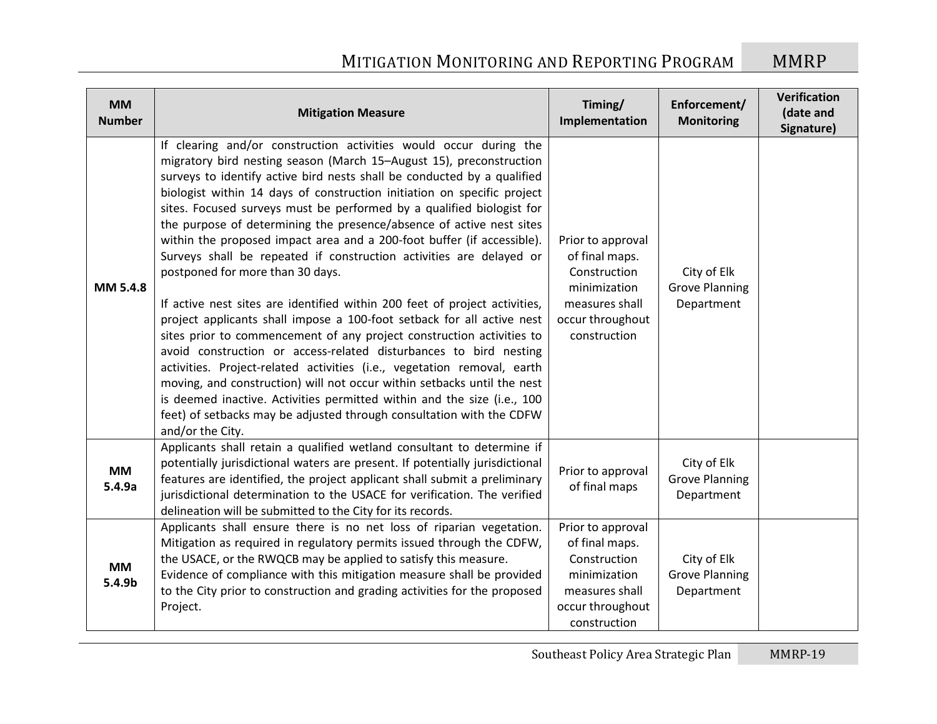| <b>MM</b><br><b>Number</b> | <b>Mitigation Measure</b>                                                                                                                                                                                                                                                                                                                                                                                                                                                                                                                                                                                                                                                                                                                                                                                                                                                                                                                                                                                                                                                                                                                                                                                                                                               | Timing/<br>Implementation                                                                                                 | Enforcement/<br><b>Monitoring</b>                  | Verification<br>(date and<br>Signature) |
|----------------------------|-------------------------------------------------------------------------------------------------------------------------------------------------------------------------------------------------------------------------------------------------------------------------------------------------------------------------------------------------------------------------------------------------------------------------------------------------------------------------------------------------------------------------------------------------------------------------------------------------------------------------------------------------------------------------------------------------------------------------------------------------------------------------------------------------------------------------------------------------------------------------------------------------------------------------------------------------------------------------------------------------------------------------------------------------------------------------------------------------------------------------------------------------------------------------------------------------------------------------------------------------------------------------|---------------------------------------------------------------------------------------------------------------------------|----------------------------------------------------|-----------------------------------------|
| MM 5.4.8                   | If clearing and/or construction activities would occur during the<br>migratory bird nesting season (March 15-August 15), preconstruction<br>surveys to identify active bird nests shall be conducted by a qualified<br>biologist within 14 days of construction initiation on specific project<br>sites. Focused surveys must be performed by a qualified biologist for<br>the purpose of determining the presence/absence of active nest sites<br>within the proposed impact area and a 200-foot buffer (if accessible).<br>Surveys shall be repeated if construction activities are delayed or<br>postponed for more than 30 days.<br>If active nest sites are identified within 200 feet of project activities,<br>project applicants shall impose a 100-foot setback for all active nest<br>sites prior to commencement of any project construction activities to<br>avoid construction or access-related disturbances to bird nesting<br>activities. Project-related activities (i.e., vegetation removal, earth<br>moving, and construction) will not occur within setbacks until the nest<br>is deemed inactive. Activities permitted within and the size (i.e., 100<br>feet) of setbacks may be adjusted through consultation with the CDFW<br>and/or the City. | Prior to approval<br>of final maps.<br>Construction<br>minimization<br>measures shall<br>occur throughout<br>construction | City of Elk<br><b>Grove Planning</b><br>Department |                                         |
| <b>MM</b><br>5.4.9a        | Applicants shall retain a qualified wetland consultant to determine if<br>potentially jurisdictional waters are present. If potentially jurisdictional<br>features are identified, the project applicant shall submit a preliminary<br>jurisdictional determination to the USACE for verification. The verified<br>delineation will be submitted to the City for its records.                                                                                                                                                                                                                                                                                                                                                                                                                                                                                                                                                                                                                                                                                                                                                                                                                                                                                           | Prior to approval<br>of final maps                                                                                        | City of Elk<br><b>Grove Planning</b><br>Department |                                         |
| <b>MM</b><br>5.4.9b        | Applicants shall ensure there is no net loss of riparian vegetation.<br>Mitigation as required in regulatory permits issued through the CDFW,<br>the USACE, or the RWQCB may be applied to satisfy this measure.<br>Evidence of compliance with this mitigation measure shall be provided<br>to the City prior to construction and grading activities for the proposed<br>Project.                                                                                                                                                                                                                                                                                                                                                                                                                                                                                                                                                                                                                                                                                                                                                                                                                                                                                      | Prior to approval<br>of final maps.<br>Construction<br>minimization<br>measures shall<br>occur throughout<br>construction | City of Elk<br><b>Grove Planning</b><br>Department |                                         |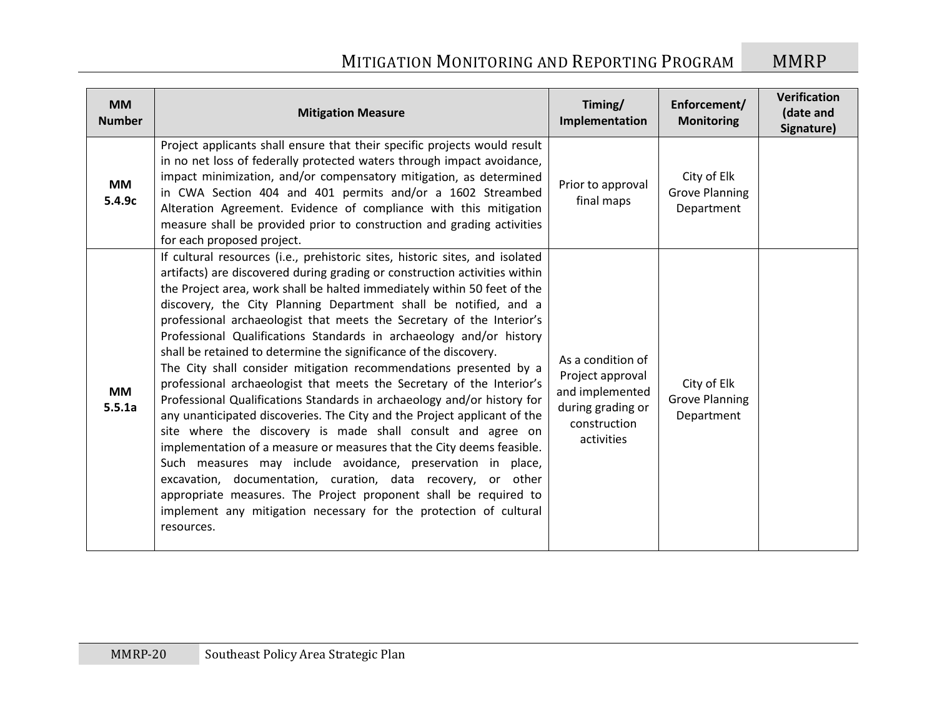| <b>MM</b><br><b>Number</b> | <b>Mitigation Measure</b>                                                                                                                                                                                                                                                                                                                                                                                                                                                                                                                                                                                                                                                                                                                                                                                                                                                                                                                                                                                                                                                                                                                                                                                                                                          | Timing/<br>Implementation                                                                                   | Enforcement/<br><b>Monitoring</b>                  | Verification<br>(date and<br>Signature) |
|----------------------------|--------------------------------------------------------------------------------------------------------------------------------------------------------------------------------------------------------------------------------------------------------------------------------------------------------------------------------------------------------------------------------------------------------------------------------------------------------------------------------------------------------------------------------------------------------------------------------------------------------------------------------------------------------------------------------------------------------------------------------------------------------------------------------------------------------------------------------------------------------------------------------------------------------------------------------------------------------------------------------------------------------------------------------------------------------------------------------------------------------------------------------------------------------------------------------------------------------------------------------------------------------------------|-------------------------------------------------------------------------------------------------------------|----------------------------------------------------|-----------------------------------------|
| <b>MM</b><br>5.4.9c        | Project applicants shall ensure that their specific projects would result<br>in no net loss of federally protected waters through impact avoidance,<br>impact minimization, and/or compensatory mitigation, as determined<br>in CWA Section 404 and 401 permits and/or a 1602 Streambed<br>Alteration Agreement. Evidence of compliance with this mitigation<br>measure shall be provided prior to construction and grading activities<br>for each proposed project.                                                                                                                                                                                                                                                                                                                                                                                                                                                                                                                                                                                                                                                                                                                                                                                               | Prior to approval<br>final maps                                                                             | City of Elk<br><b>Grove Planning</b><br>Department |                                         |
| <b>MM</b><br>5.5.1a        | If cultural resources (i.e., prehistoric sites, historic sites, and isolated<br>artifacts) are discovered during grading or construction activities within<br>the Project area, work shall be halted immediately within 50 feet of the<br>discovery, the City Planning Department shall be notified, and a<br>professional archaeologist that meets the Secretary of the Interior's<br>Professional Qualifications Standards in archaeology and/or history<br>shall be retained to determine the significance of the discovery.<br>The City shall consider mitigation recommendations presented by a<br>professional archaeologist that meets the Secretary of the Interior's<br>Professional Qualifications Standards in archaeology and/or history for<br>any unanticipated discoveries. The City and the Project applicant of the<br>site where the discovery is made shall consult and agree on<br>implementation of a measure or measures that the City deems feasible.<br>Such measures may include avoidance, preservation in place,<br>excavation, documentation, curation, data recovery, or other<br>appropriate measures. The Project proponent shall be required to<br>implement any mitigation necessary for the protection of cultural<br>resources. | As a condition of<br>Project approval<br>and implemented<br>during grading or<br>construction<br>activities | City of Elk<br><b>Grove Planning</b><br>Department |                                         |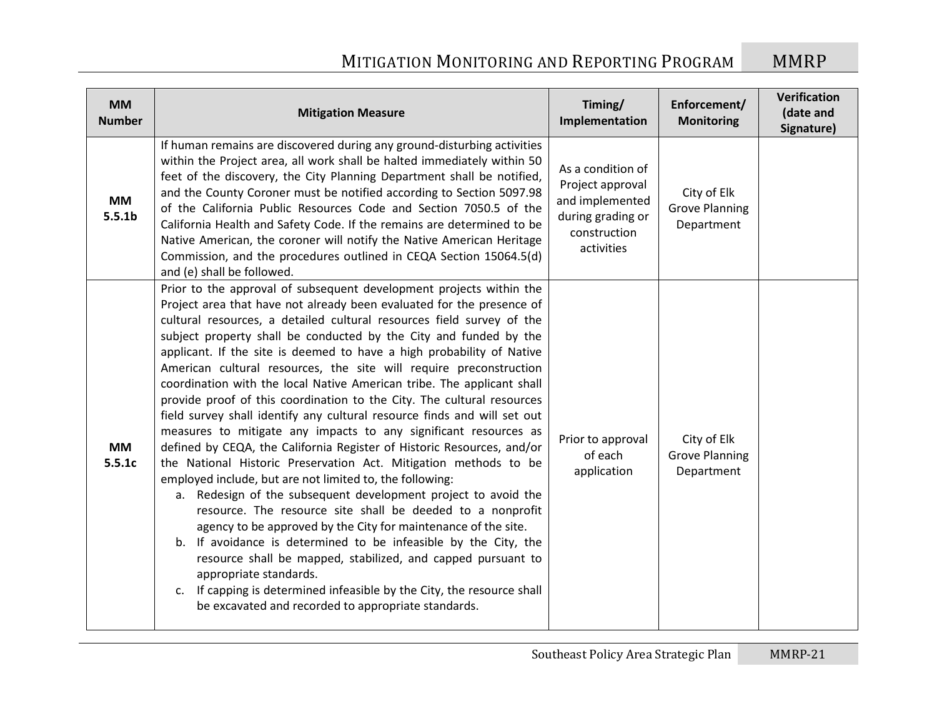| <b>MM</b><br><b>Number</b>      | <b>Mitigation Measure</b>                                                                                                                                                                                                                                                                                                                                                                                                                                                                                                                                                                                                                                                                                                                                                                                                                                                                                                                                                                                                                                                                                                                                                                                                                                                                                                                                                                                                                                  | Timing/<br>Implementation                                                                                   | Enforcement/<br><b>Monitoring</b>                  | Verification<br>(date and<br>Signature) |
|---------------------------------|------------------------------------------------------------------------------------------------------------------------------------------------------------------------------------------------------------------------------------------------------------------------------------------------------------------------------------------------------------------------------------------------------------------------------------------------------------------------------------------------------------------------------------------------------------------------------------------------------------------------------------------------------------------------------------------------------------------------------------------------------------------------------------------------------------------------------------------------------------------------------------------------------------------------------------------------------------------------------------------------------------------------------------------------------------------------------------------------------------------------------------------------------------------------------------------------------------------------------------------------------------------------------------------------------------------------------------------------------------------------------------------------------------------------------------------------------------|-------------------------------------------------------------------------------------------------------------|----------------------------------------------------|-----------------------------------------|
| <b>MM</b><br>5.5.1 <sub>b</sub> | If human remains are discovered during any ground-disturbing activities<br>within the Project area, all work shall be halted immediately within 50<br>feet of the discovery, the City Planning Department shall be notified,<br>and the County Coroner must be notified according to Section 5097.98<br>of the California Public Resources Code and Section 7050.5 of the<br>California Health and Safety Code. If the remains are determined to be<br>Native American, the coroner will notify the Native American Heritage<br>Commission, and the procedures outlined in CEQA Section 15064.5(d)<br>and (e) shall be followed.                                                                                                                                                                                                                                                                                                                                                                                                                                                                                                                                                                                                                                                                                                                                                                                                                           | As a condition of<br>Project approval<br>and implemented<br>during grading or<br>construction<br>activities | City of Elk<br><b>Grove Planning</b><br>Department |                                         |
| <b>MM</b><br>5.5.1c             | Prior to the approval of subsequent development projects within the<br>Project area that have not already been evaluated for the presence of<br>cultural resources, a detailed cultural resources field survey of the<br>subject property shall be conducted by the City and funded by the<br>applicant. If the site is deemed to have a high probability of Native<br>American cultural resources, the site will require preconstruction<br>coordination with the local Native American tribe. The applicant shall<br>provide proof of this coordination to the City. The cultural resources<br>field survey shall identify any cultural resource finds and will set out<br>measures to mitigate any impacts to any significant resources as<br>defined by CEQA, the California Register of Historic Resources, and/or<br>the National Historic Preservation Act. Mitigation methods to be<br>employed include, but are not limited to, the following:<br>a. Redesign of the subsequent development project to avoid the<br>resource. The resource site shall be deeded to a nonprofit<br>agency to be approved by the City for maintenance of the site.<br>b. If avoidance is determined to be infeasible by the City, the<br>resource shall be mapped, stabilized, and capped pursuant to<br>appropriate standards.<br>If capping is determined infeasible by the City, the resource shall<br>c.<br>be excavated and recorded to appropriate standards. | Prior to approval<br>of each<br>application                                                                 | City of Elk<br><b>Grove Planning</b><br>Department |                                         |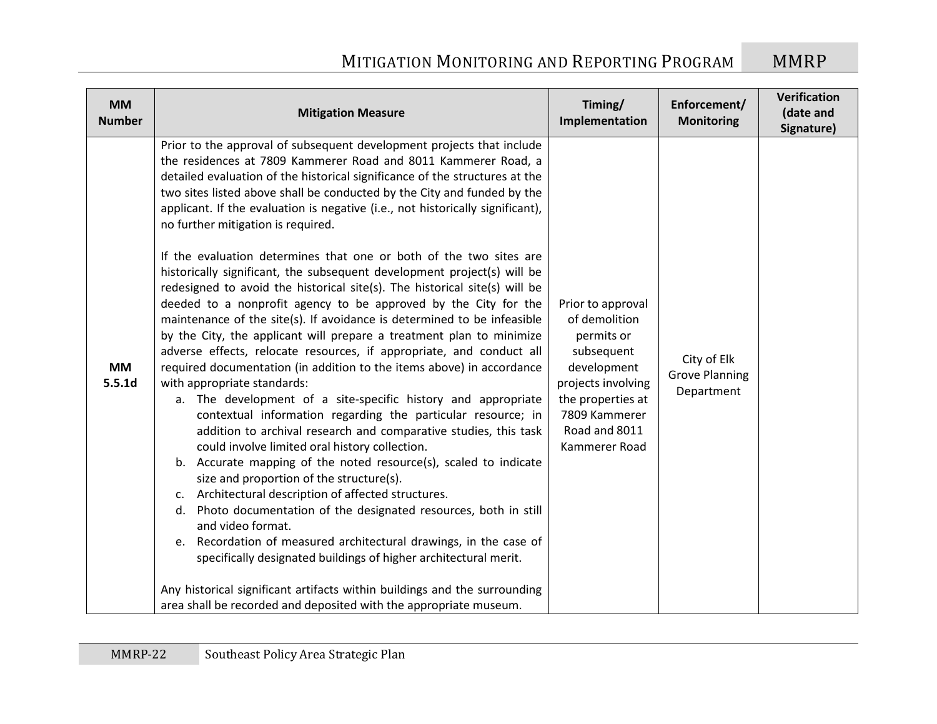| <b>MM</b><br><b>Number</b> | <b>Mitigation Measure</b>                                                                                                                                                                                                                                                                                                                                                                                                                                                                                                                                                                                                                                                                                                                                                                                                                                                                                                                                                                                                                                                                                                                                                                                                                                                                                                                                                                                                                                                                                                                                                                                                                                                                                                                                                                                                                                                                | Timing/<br>Implementation                                                                                                                                                   | Enforcement/<br><b>Monitoring</b>                  | Verification<br>(date and<br>Signature) |
|----------------------------|------------------------------------------------------------------------------------------------------------------------------------------------------------------------------------------------------------------------------------------------------------------------------------------------------------------------------------------------------------------------------------------------------------------------------------------------------------------------------------------------------------------------------------------------------------------------------------------------------------------------------------------------------------------------------------------------------------------------------------------------------------------------------------------------------------------------------------------------------------------------------------------------------------------------------------------------------------------------------------------------------------------------------------------------------------------------------------------------------------------------------------------------------------------------------------------------------------------------------------------------------------------------------------------------------------------------------------------------------------------------------------------------------------------------------------------------------------------------------------------------------------------------------------------------------------------------------------------------------------------------------------------------------------------------------------------------------------------------------------------------------------------------------------------------------------------------------------------------------------------------------------------|-----------------------------------------------------------------------------------------------------------------------------------------------------------------------------|----------------------------------------------------|-----------------------------------------|
| <b>MM</b><br>5.5.1d        | Prior to the approval of subsequent development projects that include<br>the residences at 7809 Kammerer Road and 8011 Kammerer Road, a<br>detailed evaluation of the historical significance of the structures at the<br>two sites listed above shall be conducted by the City and funded by the<br>applicant. If the evaluation is negative (i.e., not historically significant),<br>no further mitigation is required.<br>If the evaluation determines that one or both of the two sites are<br>historically significant, the subsequent development project(s) will be<br>redesigned to avoid the historical site(s). The historical site(s) will be<br>deeded to a nonprofit agency to be approved by the City for the<br>maintenance of the site(s). If avoidance is determined to be infeasible<br>by the City, the applicant will prepare a treatment plan to minimize<br>adverse effects, relocate resources, if appropriate, and conduct all<br>required documentation (in addition to the items above) in accordance<br>with appropriate standards:<br>a. The development of a site-specific history and appropriate<br>contextual information regarding the particular resource; in<br>addition to archival research and comparative studies, this task<br>could involve limited oral history collection.<br>b. Accurate mapping of the noted resource(s), scaled to indicate<br>size and proportion of the structure(s).<br>c. Architectural description of affected structures.<br>Photo documentation of the designated resources, both in still<br>d.<br>and video format.<br>Recordation of measured architectural drawings, in the case of<br>e.<br>specifically designated buildings of higher architectural merit.<br>Any historical significant artifacts within buildings and the surrounding<br>area shall be recorded and deposited with the appropriate museum. | Prior to approval<br>of demolition<br>permits or<br>subsequent<br>development<br>projects involving<br>the properties at<br>7809 Kammerer<br>Road and 8011<br>Kammerer Road | City of Elk<br><b>Grove Planning</b><br>Department |                                         |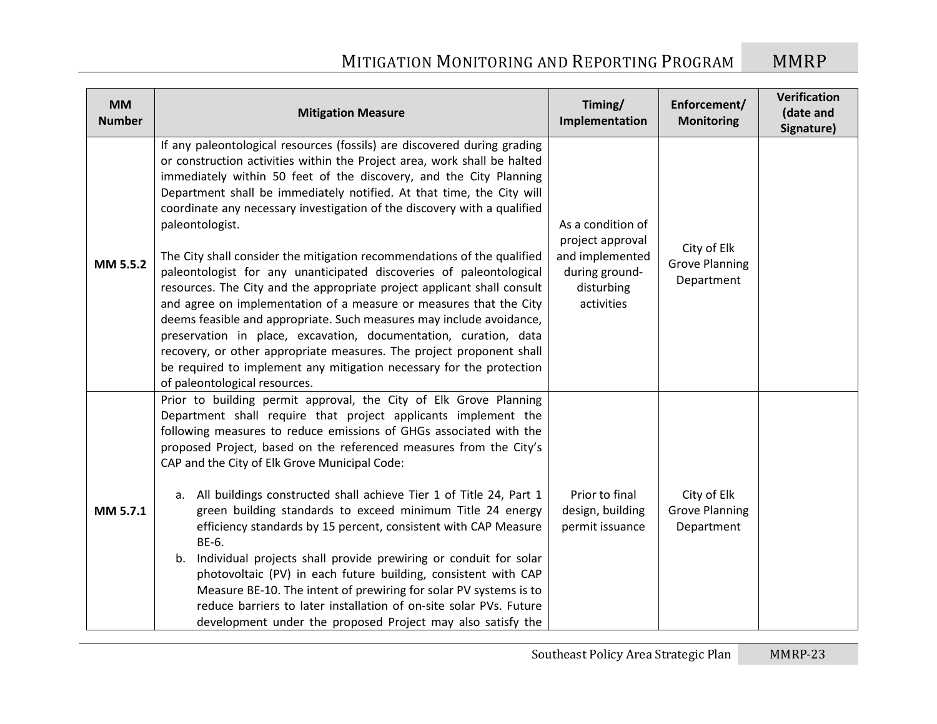| <b>MM</b><br><b>Number</b> | <b>Mitigation Measure</b>                                                                                                                                                                                                                                                                                                                                                                                                                                                                                                                                                                                                                                                                                                                                                                                                                                                                                                                                                                                                          | Timing/<br>Implementation                                                                              | Enforcement/<br><b>Monitoring</b>                  | Verification<br>(date and<br>Signature) |
|----------------------------|------------------------------------------------------------------------------------------------------------------------------------------------------------------------------------------------------------------------------------------------------------------------------------------------------------------------------------------------------------------------------------------------------------------------------------------------------------------------------------------------------------------------------------------------------------------------------------------------------------------------------------------------------------------------------------------------------------------------------------------------------------------------------------------------------------------------------------------------------------------------------------------------------------------------------------------------------------------------------------------------------------------------------------|--------------------------------------------------------------------------------------------------------|----------------------------------------------------|-----------------------------------------|
| MM 5.5.2                   | If any paleontological resources (fossils) are discovered during grading<br>or construction activities within the Project area, work shall be halted<br>immediately within 50 feet of the discovery, and the City Planning<br>Department shall be immediately notified. At that time, the City will<br>coordinate any necessary investigation of the discovery with a qualified<br>paleontologist.<br>The City shall consider the mitigation recommendations of the qualified<br>paleontologist for any unanticipated discoveries of paleontological<br>resources. The City and the appropriate project applicant shall consult<br>and agree on implementation of a measure or measures that the City<br>deems feasible and appropriate. Such measures may include avoidance,<br>preservation in place, excavation, documentation, curation, data<br>recovery, or other appropriate measures. The project proponent shall<br>be required to implement any mitigation necessary for the protection<br>of paleontological resources. | As a condition of<br>project approval<br>and implemented<br>during ground-<br>disturbing<br>activities | City of Elk<br><b>Grove Planning</b><br>Department |                                         |
| MM 5.7.1                   | Prior to building permit approval, the City of Elk Grove Planning<br>Department shall require that project applicants implement the<br>following measures to reduce emissions of GHGs associated with the<br>proposed Project, based on the referenced measures from the City's<br>CAP and the City of Elk Grove Municipal Code:<br>a. All buildings constructed shall achieve Tier 1 of Title 24, Part 1<br>green building standards to exceed minimum Title 24 energy<br>efficiency standards by 15 percent, consistent with CAP Measure<br>BE-6.<br>b. Individual projects shall provide prewiring or conduit for solar<br>photovoltaic (PV) in each future building, consistent with CAP<br>Measure BE-10. The intent of prewiring for solar PV systems is to<br>reduce barriers to later installation of on-site solar PVs. Future<br>development under the proposed Project may also satisfy the                                                                                                                             | Prior to final<br>design, building<br>permit issuance                                                  | City of Elk<br><b>Grove Planning</b><br>Department |                                         |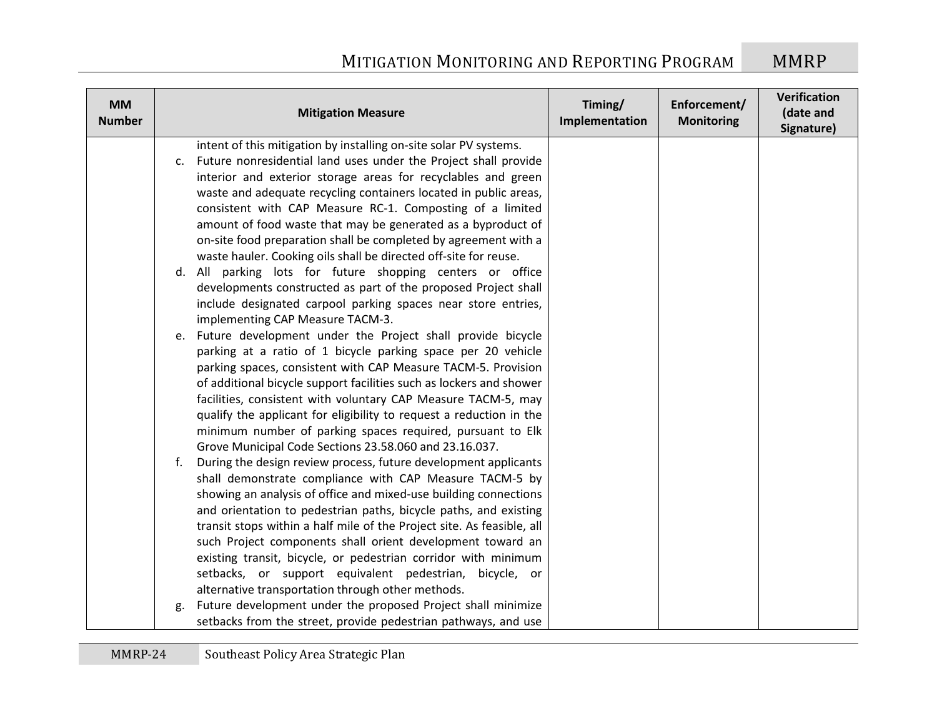| <b>MM</b><br><b>Number</b> | <b>Mitigation Measure</b>                                                                                                                                                                                                                                                                                                                                                                                                                                                                                                                                                                                                                                                                                                                                                                                                                                                                                                                                                                                                                                                                                                                                                                                                                                                                                                                                                                                                                                                                                                                                                                                                                                                           | Timing/<br>Implementation | Enforcement/<br><b>Monitoring</b> | Verification<br>(date and<br>Signature) |
|----------------------------|-------------------------------------------------------------------------------------------------------------------------------------------------------------------------------------------------------------------------------------------------------------------------------------------------------------------------------------------------------------------------------------------------------------------------------------------------------------------------------------------------------------------------------------------------------------------------------------------------------------------------------------------------------------------------------------------------------------------------------------------------------------------------------------------------------------------------------------------------------------------------------------------------------------------------------------------------------------------------------------------------------------------------------------------------------------------------------------------------------------------------------------------------------------------------------------------------------------------------------------------------------------------------------------------------------------------------------------------------------------------------------------------------------------------------------------------------------------------------------------------------------------------------------------------------------------------------------------------------------------------------------------------------------------------------------------|---------------------------|-----------------------------------|-----------------------------------------|
|                            | intent of this mitigation by installing on-site solar PV systems.<br>c. Future nonresidential land uses under the Project shall provide<br>interior and exterior storage areas for recyclables and green<br>waste and adequate recycling containers located in public areas,<br>consistent with CAP Measure RC-1. Composting of a limited<br>amount of food waste that may be generated as a byproduct of<br>on-site food preparation shall be completed by agreement with a<br>waste hauler. Cooking oils shall be directed off-site for reuse.<br>d. All parking lots for future shopping centers or office<br>developments constructed as part of the proposed Project shall<br>include designated carpool parking spaces near store entries,<br>implementing CAP Measure TACM-3.<br>e. Future development under the Project shall provide bicycle<br>parking at a ratio of 1 bicycle parking space per 20 vehicle<br>parking spaces, consistent with CAP Measure TACM-5. Provision<br>of additional bicycle support facilities such as lockers and shower<br>facilities, consistent with voluntary CAP Measure TACM-5, may<br>qualify the applicant for eligibility to request a reduction in the<br>minimum number of parking spaces required, pursuant to Elk<br>Grove Municipal Code Sections 23.58.060 and 23.16.037.<br>During the design review process, future development applicants<br>f.<br>shall demonstrate compliance with CAP Measure TACM-5 by<br>showing an analysis of office and mixed-use building connections<br>and orientation to pedestrian paths, bicycle paths, and existing<br>transit stops within a half mile of the Project site. As feasible, all |                           |                                   |                                         |
|                            | such Project components shall orient development toward an<br>existing transit, bicycle, or pedestrian corridor with minimum<br>setbacks, or support equivalent pedestrian, bicycle, or<br>alternative transportation through other methods.<br>Future development under the proposed Project shall minimize<br>g.<br>setbacks from the street, provide pedestrian pathways, and use                                                                                                                                                                                                                                                                                                                                                                                                                                                                                                                                                                                                                                                                                                                                                                                                                                                                                                                                                                                                                                                                                                                                                                                                                                                                                                |                           |                                   |                                         |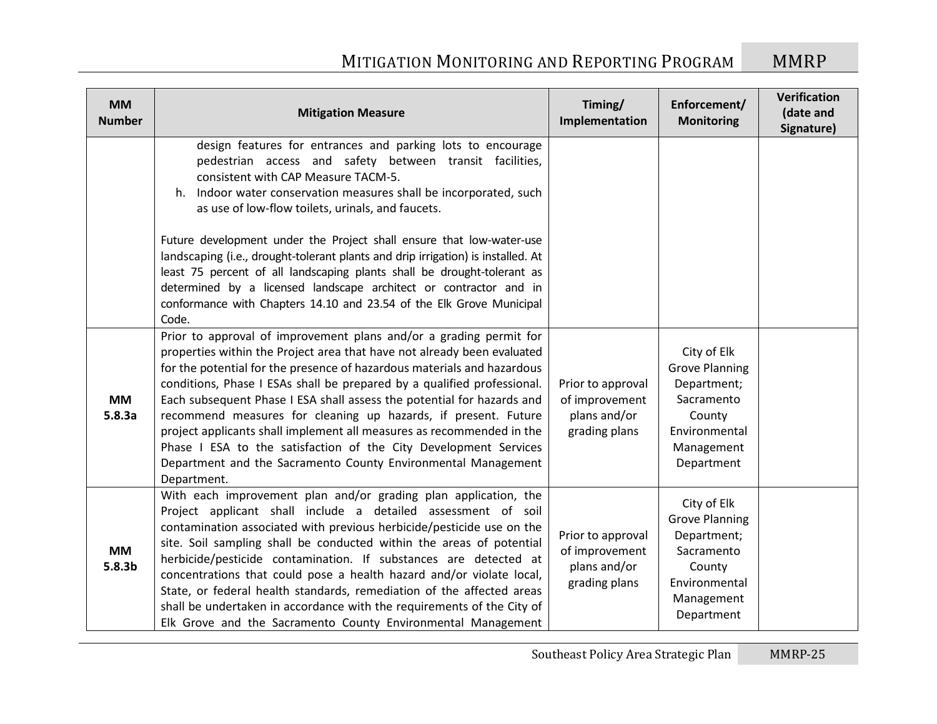| <b>MM</b><br><b>Number</b>      | <b>Mitigation Measure</b>                                                                                                                                                                                                                                                                                                                                                                                                                                                                                                                                                                                                                                                    | Timing/<br>Implementation                                            | Enforcement/<br><b>Monitoring</b>                                                                                        | Verification<br>(date and<br>Signature) |
|---------------------------------|------------------------------------------------------------------------------------------------------------------------------------------------------------------------------------------------------------------------------------------------------------------------------------------------------------------------------------------------------------------------------------------------------------------------------------------------------------------------------------------------------------------------------------------------------------------------------------------------------------------------------------------------------------------------------|----------------------------------------------------------------------|--------------------------------------------------------------------------------------------------------------------------|-----------------------------------------|
|                                 | design features for entrances and parking lots to encourage<br>pedestrian access and safety between transit facilities,<br>consistent with CAP Measure TACM-5.<br>h. Indoor water conservation measures shall be incorporated, such<br>as use of low-flow toilets, urinals, and faucets.                                                                                                                                                                                                                                                                                                                                                                                     |                                                                      |                                                                                                                          |                                         |
|                                 | Future development under the Project shall ensure that low-water-use<br>landscaping (i.e., drought-tolerant plants and drip irrigation) is installed. At<br>least 75 percent of all landscaping plants shall be drought-tolerant as<br>determined by a licensed landscape architect or contractor and in<br>conformance with Chapters 14.10 and 23.54 of the Elk Grove Municipal<br>Code.                                                                                                                                                                                                                                                                                    |                                                                      |                                                                                                                          |                                         |
| <b>MM</b><br>5.8.3a             | Prior to approval of improvement plans and/or a grading permit for<br>properties within the Project area that have not already been evaluated<br>for the potential for the presence of hazardous materials and hazardous<br>conditions, Phase I ESAs shall be prepared by a qualified professional.<br>Each subsequent Phase I ESA shall assess the potential for hazards and<br>recommend measures for cleaning up hazards, if present. Future<br>project applicants shall implement all measures as recommended in the<br>Phase I ESA to the satisfaction of the City Development Services<br>Department and the Sacramento County Environmental Management<br>Department. | Prior to approval<br>of improvement<br>plans and/or<br>grading plans | City of Elk<br><b>Grove Planning</b><br>Department;<br>Sacramento<br>County<br>Environmental<br>Management<br>Department |                                         |
| <b>MM</b><br>5.8.3 <sub>b</sub> | With each improvement plan and/or grading plan application, the<br>Project applicant shall include a detailed assessment of soil<br>contamination associated with previous herbicide/pesticide use on the<br>site. Soil sampling shall be conducted within the areas of potential<br>herbicide/pesticide contamination. If substances are detected at<br>concentrations that could pose a health hazard and/or violate local,<br>State, or federal health standards, remediation of the affected areas<br>shall be undertaken in accordance with the requirements of the City of<br>Elk Grove and the Sacramento County Environmental Management                             | Prior to approval<br>of improvement<br>plans and/or<br>grading plans | City of Elk<br><b>Grove Planning</b><br>Department;<br>Sacramento<br>County<br>Environmental<br>Management<br>Department |                                         |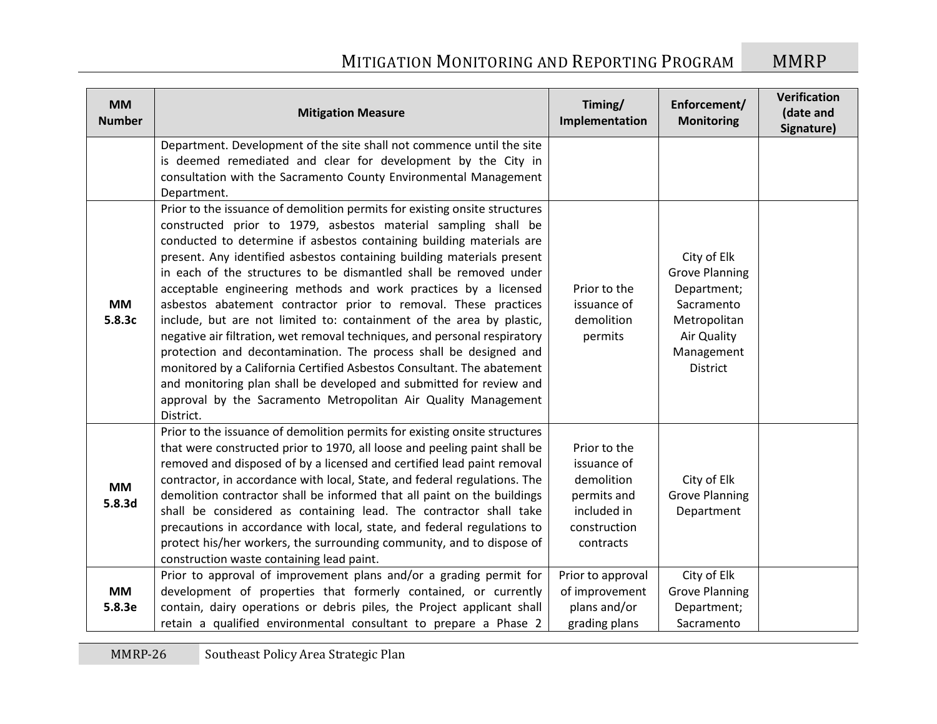| <b>MM</b><br><b>Number</b> | <b>Mitigation Measure</b>                                                                                                                                                                                                                                                                                                                                                                                                                                                                                                                                                                                                                                                                                                                                                                                                                                                                                                                                           | Timing/<br>Implementation                                                                            | Enforcement/<br><b>Monitoring</b>                                                                                                 | Verification<br>(date and<br>Signature) |
|----------------------------|---------------------------------------------------------------------------------------------------------------------------------------------------------------------------------------------------------------------------------------------------------------------------------------------------------------------------------------------------------------------------------------------------------------------------------------------------------------------------------------------------------------------------------------------------------------------------------------------------------------------------------------------------------------------------------------------------------------------------------------------------------------------------------------------------------------------------------------------------------------------------------------------------------------------------------------------------------------------|------------------------------------------------------------------------------------------------------|-----------------------------------------------------------------------------------------------------------------------------------|-----------------------------------------|
|                            | Department. Development of the site shall not commence until the site<br>is deemed remediated and clear for development by the City in<br>consultation with the Sacramento County Environmental Management<br>Department.                                                                                                                                                                                                                                                                                                                                                                                                                                                                                                                                                                                                                                                                                                                                           |                                                                                                      |                                                                                                                                   |                                         |
| <b>MM</b><br>5.8.3c        | Prior to the issuance of demolition permits for existing onsite structures<br>constructed prior to 1979, asbestos material sampling shall be<br>conducted to determine if asbestos containing building materials are<br>present. Any identified asbestos containing building materials present<br>in each of the structures to be dismantled shall be removed under<br>acceptable engineering methods and work practices by a licensed<br>asbestos abatement contractor prior to removal. These practices<br>include, but are not limited to: containment of the area by plastic,<br>negative air filtration, wet removal techniques, and personal respiratory<br>protection and decontamination. The process shall be designed and<br>monitored by a California Certified Asbestos Consultant. The abatement<br>and monitoring plan shall be developed and submitted for review and<br>approval by the Sacramento Metropolitan Air Quality Management<br>District. | Prior to the<br>issuance of<br>demolition<br>permits                                                 | City of Elk<br><b>Grove Planning</b><br>Department;<br>Sacramento<br>Metropolitan<br>Air Quality<br>Management<br><b>District</b> |                                         |
| <b>MM</b><br>5.8.3d        | Prior to the issuance of demolition permits for existing onsite structures<br>that were constructed prior to 1970, all loose and peeling paint shall be<br>removed and disposed of by a licensed and certified lead paint removal<br>contractor, in accordance with local, State, and federal regulations. The<br>demolition contractor shall be informed that all paint on the buildings<br>shall be considered as containing lead. The contractor shall take<br>precautions in accordance with local, state, and federal regulations to<br>protect his/her workers, the surrounding community, and to dispose of<br>construction waste containing lead paint.                                                                                                                                                                                                                                                                                                     | Prior to the<br>issuance of<br>demolition<br>permits and<br>included in<br>construction<br>contracts | City of Elk<br><b>Grove Planning</b><br>Department                                                                                |                                         |
| <b>MM</b><br>5.8.3e        | Prior to approval of improvement plans and/or a grading permit for<br>development of properties that formerly contained, or currently<br>contain, dairy operations or debris piles, the Project applicant shall<br>retain a qualified environmental consultant to prepare a Phase 2                                                                                                                                                                                                                                                                                                                                                                                                                                                                                                                                                                                                                                                                                 | Prior to approval<br>of improvement<br>plans and/or<br>grading plans                                 | City of Elk<br><b>Grove Planning</b><br>Department;<br>Sacramento                                                                 |                                         |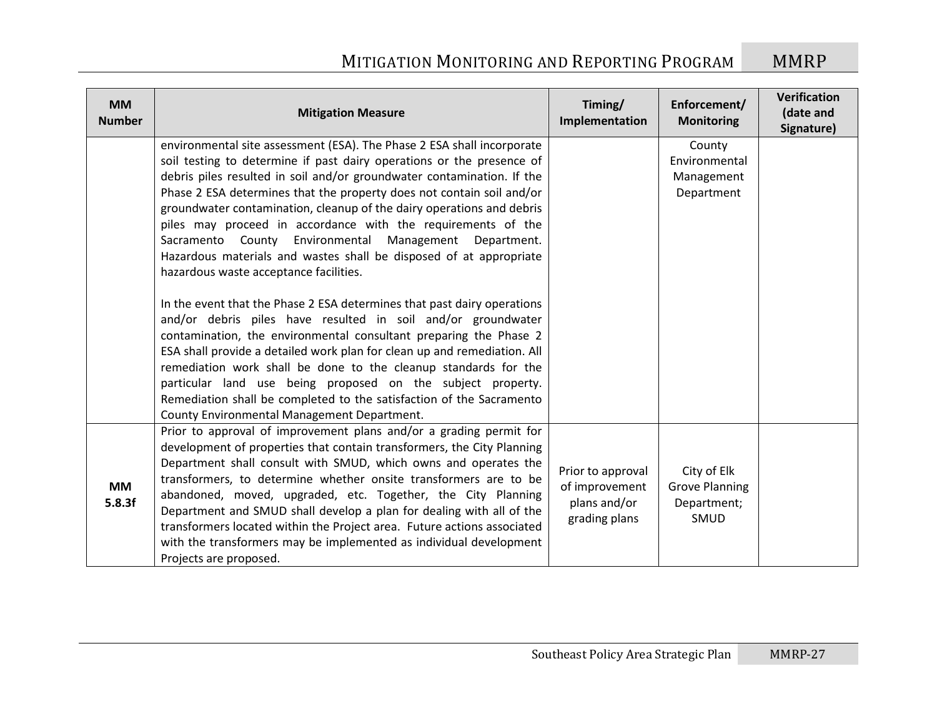| <b>MM</b><br><b>Number</b> | <b>Mitigation Measure</b>                                                                                                                                                                                                                                                                                                                                                                                                                                                                                                                                                                                             | Timing/<br>Implementation                                            | Enforcement/<br><b>Monitoring</b>                           | Verification<br>(date and<br>Signature) |
|----------------------------|-----------------------------------------------------------------------------------------------------------------------------------------------------------------------------------------------------------------------------------------------------------------------------------------------------------------------------------------------------------------------------------------------------------------------------------------------------------------------------------------------------------------------------------------------------------------------------------------------------------------------|----------------------------------------------------------------------|-------------------------------------------------------------|-----------------------------------------|
|                            | environmental site assessment (ESA). The Phase 2 ESA shall incorporate<br>soil testing to determine if past dairy operations or the presence of<br>debris piles resulted in soil and/or groundwater contamination. If the<br>Phase 2 ESA determines that the property does not contain soil and/or<br>groundwater contamination, cleanup of the dairy operations and debris<br>piles may proceed in accordance with the requirements of the<br>Sacramento County Environmental Management Department.<br>Hazardous materials and wastes shall be disposed of at appropriate<br>hazardous waste acceptance facilities. |                                                                      | County<br>Environmental<br>Management<br>Department         |                                         |
|                            | In the event that the Phase 2 ESA determines that past dairy operations<br>and/or debris piles have resulted in soil and/or groundwater<br>contamination, the environmental consultant preparing the Phase 2<br>ESA shall provide a detailed work plan for clean up and remediation. All<br>remediation work shall be done to the cleanup standards for the<br>particular land use being proposed on the subject property.<br>Remediation shall be completed to the satisfaction of the Sacramento<br>County Environmental Management Department.                                                                     |                                                                      |                                                             |                                         |
| <b>MM</b><br>5.8.3f        | Prior to approval of improvement plans and/or a grading permit for<br>development of properties that contain transformers, the City Planning<br>Department shall consult with SMUD, which owns and operates the<br>transformers, to determine whether onsite transformers are to be<br>abandoned, moved, upgraded, etc. Together, the City Planning<br>Department and SMUD shall develop a plan for dealing with all of the<br>transformers located within the Project area. Future actions associated<br>with the transformers may be implemented as individual development<br>Projects are proposed.                | Prior to approval<br>of improvement<br>plans and/or<br>grading plans | City of Elk<br><b>Grove Planning</b><br>Department;<br>SMUD |                                         |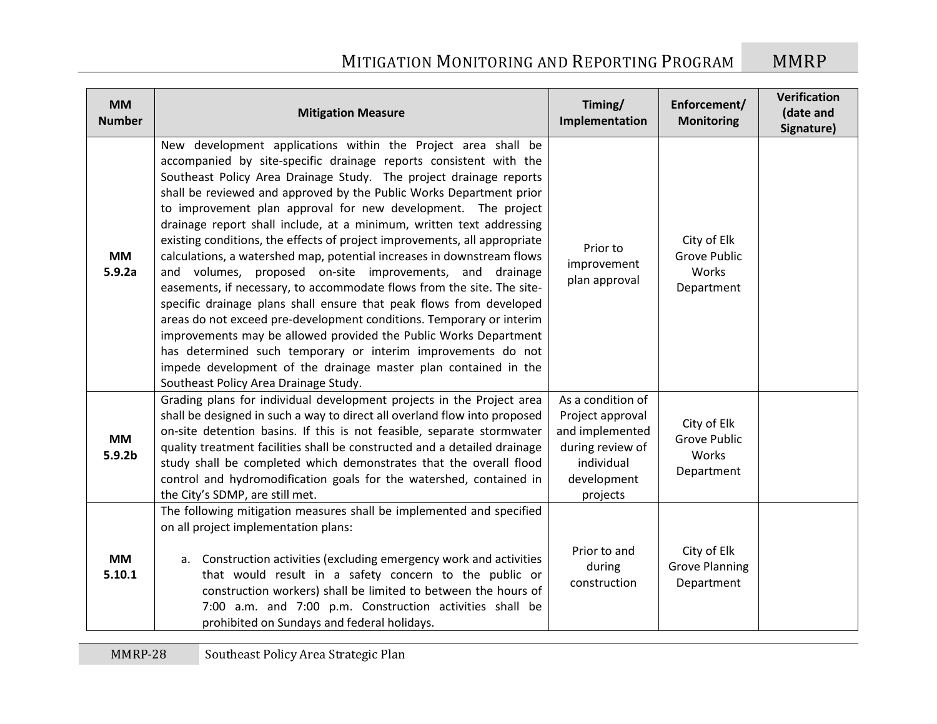| <b>MM</b><br><b>Number</b>      | <b>Mitigation Measure</b>                                                                                                                                                                                                                                                                                                                                                                                                                                                                                                                                                                                                                                                                                                                                                                                                                                                                                                                                                                                                                                                                                            | Timing/<br>Implementation                                                                                             | Enforcement/<br><b>Monitoring</b>                         | Verification<br>(date and<br>Signature) |
|---------------------------------|----------------------------------------------------------------------------------------------------------------------------------------------------------------------------------------------------------------------------------------------------------------------------------------------------------------------------------------------------------------------------------------------------------------------------------------------------------------------------------------------------------------------------------------------------------------------------------------------------------------------------------------------------------------------------------------------------------------------------------------------------------------------------------------------------------------------------------------------------------------------------------------------------------------------------------------------------------------------------------------------------------------------------------------------------------------------------------------------------------------------|-----------------------------------------------------------------------------------------------------------------------|-----------------------------------------------------------|-----------------------------------------|
| <b>MM</b><br>5.9.2a             | New development applications within the Project area shall be<br>accompanied by site-specific drainage reports consistent with the<br>Southeast Policy Area Drainage Study. The project drainage reports<br>shall be reviewed and approved by the Public Works Department prior<br>to improvement plan approval for new development. The project<br>drainage report shall include, at a minimum, written text addressing<br>existing conditions, the effects of project improvements, all appropriate<br>calculations, a watershed map, potential increases in downstream flows<br>and volumes, proposed on-site improvements, and drainage<br>easements, if necessary, to accommodate flows from the site. The site-<br>specific drainage plans shall ensure that peak flows from developed<br>areas do not exceed pre-development conditions. Temporary or interim<br>improvements may be allowed provided the Public Works Department<br>has determined such temporary or interim improvements do not<br>impede development of the drainage master plan contained in the<br>Southeast Policy Area Drainage Study. | Prior to<br>improvement<br>plan approval                                                                              | City of Elk<br>Grove Public<br>Works<br>Department        |                                         |
| <b>MM</b><br>5.9.2 <sub>b</sub> | Grading plans for individual development projects in the Project area<br>shall be designed in such a way to direct all overland flow into proposed<br>on-site detention basins. If this is not feasible, separate stormwater<br>quality treatment facilities shall be constructed and a detailed drainage<br>study shall be completed which demonstrates that the overall flood<br>control and hydromodification goals for the watershed, contained in<br>the City's SDMP, are still met.                                                                                                                                                                                                                                                                                                                                                                                                                                                                                                                                                                                                                            | As a condition of<br>Project approval<br>and implemented<br>during review of<br>individual<br>development<br>projects | City of Elk<br><b>Grove Public</b><br>Works<br>Department |                                         |
| <b>MM</b><br>5.10.1             | The following mitigation measures shall be implemented and specified<br>on all project implementation plans:<br>a. Construction activities (excluding emergency work and activities<br>that would result in a safety concern to the public or<br>construction workers) shall be limited to between the hours of<br>7:00 a.m. and 7:00 p.m. Construction activities shall be<br>prohibited on Sundays and federal holidays.                                                                                                                                                                                                                                                                                                                                                                                                                                                                                                                                                                                                                                                                                           | Prior to and<br>during<br>construction                                                                                | City of Elk<br><b>Grove Planning</b><br>Department        |                                         |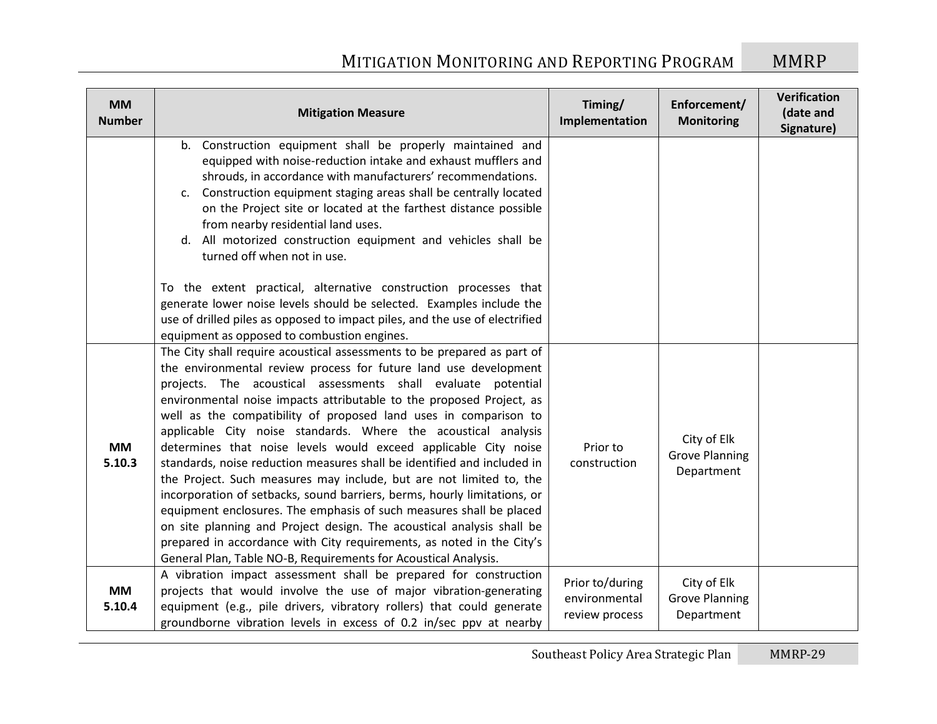| <b>MM</b><br><b>Number</b> | <b>Mitigation Measure</b>                                                                                                                                                                                                                                                                                                                                                                                                                                                                                                                                                                                                                                                                                                                                                                                                                                                                                                                                                                                               | Timing/<br>Implementation                          | Enforcement/<br><b>Monitoring</b>                  | Verification<br>(date and<br>Signature) |
|----------------------------|-------------------------------------------------------------------------------------------------------------------------------------------------------------------------------------------------------------------------------------------------------------------------------------------------------------------------------------------------------------------------------------------------------------------------------------------------------------------------------------------------------------------------------------------------------------------------------------------------------------------------------------------------------------------------------------------------------------------------------------------------------------------------------------------------------------------------------------------------------------------------------------------------------------------------------------------------------------------------------------------------------------------------|----------------------------------------------------|----------------------------------------------------|-----------------------------------------|
|                            | b. Construction equipment shall be properly maintained and<br>equipped with noise-reduction intake and exhaust mufflers and<br>shrouds, in accordance with manufacturers' recommendations.<br>c. Construction equipment staging areas shall be centrally located<br>on the Project site or located at the farthest distance possible<br>from nearby residential land uses.<br>d. All motorized construction equipment and vehicles shall be<br>turned off when not in use.<br>To the extent practical, alternative construction processes that<br>generate lower noise levels should be selected. Examples include the<br>use of drilled piles as opposed to impact piles, and the use of electrified<br>equipment as opposed to combustion engines.                                                                                                                                                                                                                                                                    |                                                    |                                                    |                                         |
| <b>MM</b><br>5.10.3        | The City shall require acoustical assessments to be prepared as part of<br>the environmental review process for future land use development<br>projects. The acoustical assessments shall evaluate potential<br>environmental noise impacts attributable to the proposed Project, as<br>well as the compatibility of proposed land uses in comparison to<br>applicable City noise standards. Where the acoustical analysis<br>determines that noise levels would exceed applicable City noise<br>standards, noise reduction measures shall be identified and included in<br>the Project. Such measures may include, but are not limited to, the<br>incorporation of setbacks, sound barriers, berms, hourly limitations, or<br>equipment enclosures. The emphasis of such measures shall be placed<br>on site planning and Project design. The acoustical analysis shall be<br>prepared in accordance with City requirements, as noted in the City's<br>General Plan, Table NO-B, Requirements for Acoustical Analysis. | Prior to<br>construction                           | City of Elk<br><b>Grove Planning</b><br>Department |                                         |
| <b>MM</b><br>5.10.4        | A vibration impact assessment shall be prepared for construction<br>projects that would involve the use of major vibration-generating<br>equipment (e.g., pile drivers, vibratory rollers) that could generate<br>groundborne vibration levels in excess of 0.2 in/sec ppv at nearby                                                                                                                                                                                                                                                                                                                                                                                                                                                                                                                                                                                                                                                                                                                                    | Prior to/during<br>environmental<br>review process | City of Elk<br><b>Grove Planning</b><br>Department |                                         |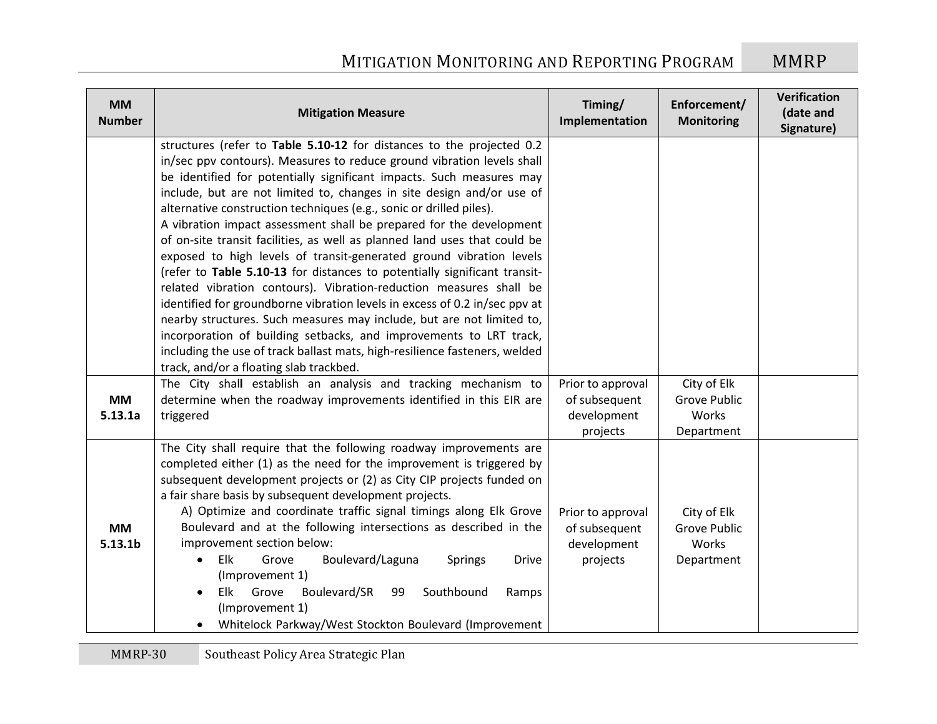| <b>MM</b><br><b>Number</b>       | <b>Mitigation Measure</b>                                                                                                                                                                                                                                                                                                                                                                                                                                                                                                                                                                                                                                                                                                                                                                                                                                                                                                                                                                                                                                                                                   | Timing/<br>Implementation                                     | Enforcement/<br><b>Monitoring</b>                  | Verification<br>(date and<br>Signature) |
|----------------------------------|-------------------------------------------------------------------------------------------------------------------------------------------------------------------------------------------------------------------------------------------------------------------------------------------------------------------------------------------------------------------------------------------------------------------------------------------------------------------------------------------------------------------------------------------------------------------------------------------------------------------------------------------------------------------------------------------------------------------------------------------------------------------------------------------------------------------------------------------------------------------------------------------------------------------------------------------------------------------------------------------------------------------------------------------------------------------------------------------------------------|---------------------------------------------------------------|----------------------------------------------------|-----------------------------------------|
|                                  | structures (refer to Table 5.10-12 for distances to the projected 0.2<br>in/sec ppv contours). Measures to reduce ground vibration levels shall<br>be identified for potentially significant impacts. Such measures may<br>include, but are not limited to, changes in site design and/or use of<br>alternative construction techniques (e.g., sonic or drilled piles).<br>A vibration impact assessment shall be prepared for the development<br>of on-site transit facilities, as well as planned land uses that could be<br>exposed to high levels of transit-generated ground vibration levels<br>(refer to Table 5.10-13 for distances to potentially significant transit-<br>related vibration contours). Vibration-reduction measures shall be<br>identified for groundborne vibration levels in excess of 0.2 in/sec ppv at<br>nearby structures. Such measures may include, but are not limited to,<br>incorporation of building setbacks, and improvements to LRT track,<br>including the use of track ballast mats, high-resilience fasteners, welded<br>track, and/or a floating slab trackbed. |                                                               |                                                    |                                         |
| <b>MM</b><br>5.13.1a             | The City shall establish an analysis and tracking mechanism to<br>determine when the roadway improvements identified in this EIR are<br>triggered                                                                                                                                                                                                                                                                                                                                                                                                                                                                                                                                                                                                                                                                                                                                                                                                                                                                                                                                                           | Prior to approval<br>of subsequent<br>development<br>projects | City of Elk<br>Grove Public<br>Works<br>Department |                                         |
| <b>MM</b><br>5.13.1 <sub>b</sub> | The City shall require that the following roadway improvements are<br>completed either (1) as the need for the improvement is triggered by<br>subsequent development projects or (2) as City CIP projects funded on<br>a fair share basis by subsequent development projects.<br>A) Optimize and coordinate traffic signal timings along Elk Grove<br>Boulevard and at the following intersections as described in the<br>improvement section below:<br>Elk<br>Boulevard/Laguna<br>Grove<br><b>Springs</b><br><b>Drive</b><br>$\bullet$<br>(Improvement 1)<br>Elk Grove<br>Boulevard/SR<br>Southbound<br>99<br>Ramps<br>$\bullet$<br>(Improvement 1)<br>Whitelock Parkway/West Stockton Boulevard (Improvement                                                                                                                                                                                                                                                                                                                                                                                              | Prior to approval<br>of subsequent<br>development<br>projects | City of Elk<br>Grove Public<br>Works<br>Department |                                         |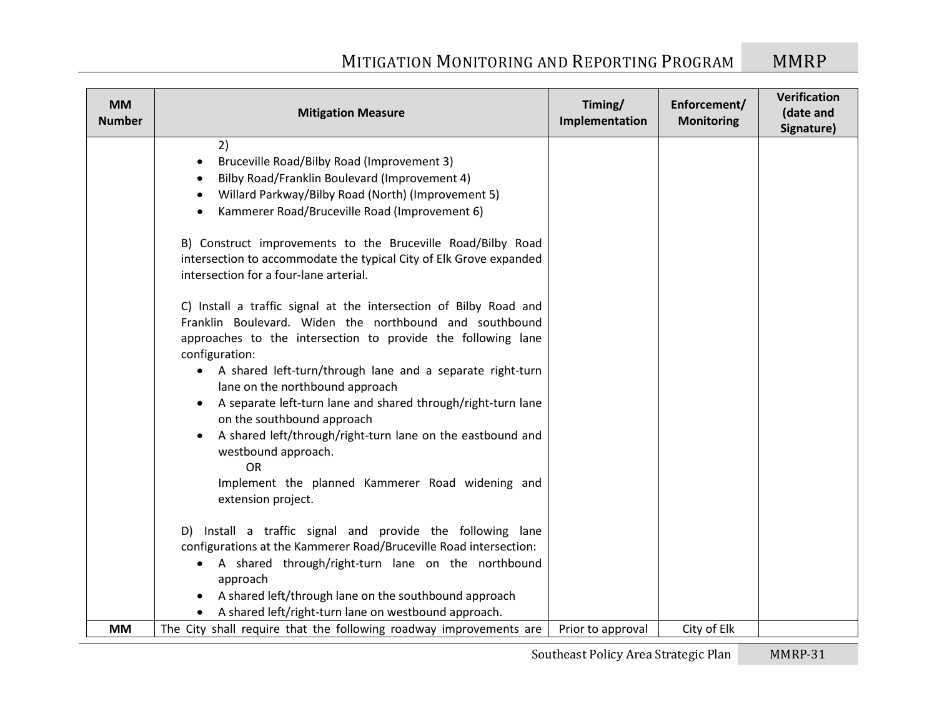| <b>MM</b><br><b>Number</b> | <b>Mitigation Measure</b>                                                                                                                                                                                                                                                                                                                                                                                                                                                                                                                                                                                                                       | Timing/<br>Implementation | Enforcement/<br><b>Monitoring</b> | Verification<br>(date and<br>Signature) |
|----------------------------|-------------------------------------------------------------------------------------------------------------------------------------------------------------------------------------------------------------------------------------------------------------------------------------------------------------------------------------------------------------------------------------------------------------------------------------------------------------------------------------------------------------------------------------------------------------------------------------------------------------------------------------------------|---------------------------|-----------------------------------|-----------------------------------------|
|                            | 2)<br>Bruceville Road/Bilby Road (Improvement 3)<br>٠<br>Bilby Road/Franklin Boulevard (Improvement 4)<br>$\bullet$<br>Willard Parkway/Bilby Road (North) (Improvement 5)<br>$\bullet$<br>Kammerer Road/Bruceville Road (Improvement 6)<br>B) Construct improvements to the Bruceville Road/Bilby Road<br>intersection to accommodate the typical City of Elk Grove expanded                                                                                                                                                                                                                                                                    |                           |                                   |                                         |
|                            | intersection for a four-lane arterial.<br>C) Install a traffic signal at the intersection of Bilby Road and<br>Franklin Boulevard. Widen the northbound and southbound<br>approaches to the intersection to provide the following lane<br>configuration:<br>A shared left-turn/through lane and a separate right-turn<br>$\bullet$<br>lane on the northbound approach<br>A separate left-turn lane and shared through/right-turn lane<br>on the southbound approach<br>A shared left/through/right-turn lane on the eastbound and<br>westbound approach.<br><b>OR</b><br>Implement the planned Kammerer Road widening and<br>extension project. |                           |                                   |                                         |
|                            | D) Install a traffic signal and provide the following lane<br>configurations at the Kammerer Road/Bruceville Road intersection:<br>• A shared through/right-turn lane on the northbound<br>approach<br>A shared left/through lane on the southbound approach                                                                                                                                                                                                                                                                                                                                                                                    |                           |                                   |                                         |
| <b>MM</b>                  | A shared left/right-turn lane on westbound approach.<br>The City shall require that the following roadway improvements are                                                                                                                                                                                                                                                                                                                                                                                                                                                                                                                      | Prior to approval         | City of Elk                       |                                         |
|                            |                                                                                                                                                                                                                                                                                                                                                                                                                                                                                                                                                                                                                                                 |                           |                                   |                                         |

Southeast Policy Area Strategic Plan MMRP-31